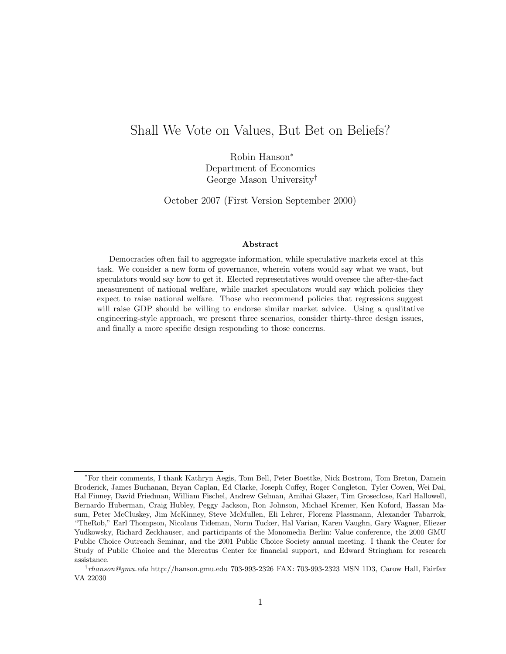# Shall We Vote on Values, But Bet on Beliefs?

Robin Hanson<sup>∗</sup> Department of Economics George Mason University†

October 2007 (First Version September 2000)

#### Abstract

Democracies often fail to aggregate information, while speculative markets excel at this task. We consider a new form of governance, wherein voters would say what we want, but speculators would say how to get it. Elected representatives would oversee the after-the-fact measurement of national welfare, while market speculators would say which policies they expect to raise national welfare. Those who recommend policies that regressions suggest will raise GDP should be willing to endorse similar market advice. Using a qualitative engineering-style approach, we present three scenarios, consider thirty-three design issues, and finally a more specific design responding to those concerns.

<sup>∗</sup>For their comments, I thank Kathryn Aegis, Tom Bell, Peter Boettke, Nick Bostrom, Tom Breton, Damein Broderick, James Buchanan, Bryan Caplan, Ed Clarke, Joseph Coffey, Roger Congleton, Tyler Cowen, Wei Dai, Hal Finney, David Friedman, William Fischel, Andrew Gelman, Amihai Glazer, Tim Groseclose, Karl Hallowell, Bernardo Huberman, Craig Hubley, Peggy Jackson, Ron Johnson, Michael Kremer, Ken Koford, Hassan Masum, Peter McCluskey, Jim McKinney, Steve McMullen, Eli Lehrer, Florenz Plassmann, Alexander Tabarrok, "TheRob," Earl Thompson, Nicolaus Tideman, Norm Tucker, Hal Varian, Karen Vaughn, Gary Wagner, Eliezer Yudkowsky, Richard Zeckhauser, and participants of the Monomedia Berlin: Value conference, the 2000 GMU Public Choice Outreach Seminar, and the 2001 Public Choice Society annual meeting. I thank the Center for Study of Public Choice and the Mercatus Center for financial support, and Edward Stringham for research assistance.

 $^{\dagger}$ *rhanson@gmu.edu* http://hanson.gmu.edu 703-993-2326 FAX: 703-993-2323 MSN 1D3, Carow Hall, Fairfax VA 22030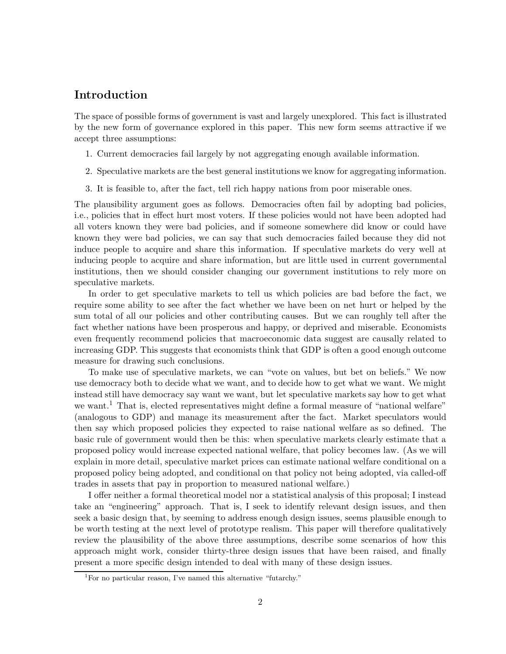# Introduction

The space of possible forms of government is vast and largely unexplored. This fact is illustrated by the new form of governance explored in this paper. This new form seems attractive if we accept three assumptions:

- 1. Current democracies fail largely by not aggregating enough available information.
- 2. Speculative markets are the best general institutions we know for aggregating information.
- 3. It is feasible to, after the fact, tell rich happy nations from poor miserable ones.

The plausibility argument goes as follows. Democracies often fail by adopting bad policies, i.e., policies that in effect hurt most voters. If these policies would not have been adopted had all voters known they were bad policies, and if someone somewhere did know or could have known they were bad policies, we can say that such democracies failed because they did not induce people to acquire and share this information. If speculative markets do very well at inducing people to acquire and share information, but are little used in current governmental institutions, then we should consider changing our government institutions to rely more on speculative markets.

In order to get speculative markets to tell us which policies are bad before the fact, we require some ability to see after the fact whether we have been on net hurt or helped by the sum total of all our policies and other contributing causes. But we can roughly tell after the fact whether nations have been prosperous and happy, or deprived and miserable. Economists even frequently recommend policies that macroeconomic data suggest are causally related to increasing GDP. This suggests that economists think that GDP is often a good enough outcome measure for drawing such conclusions.

To make use of speculative markets, we can "vote on values, but bet on beliefs." We now use democracy both to decide what we want, and to decide how to get what we want. We might instead still have democracy say want we want, but let speculative markets say how to get what we want.<sup>1</sup> That is, elected representatives might define a formal measure of "national welfare" (analogous to GDP) and manage its measurement after the fact. Market speculators would then say which proposed policies they expected to raise national welfare as so defined. The basic rule of government would then be this: when speculative markets clearly estimate that a proposed policy would increase expected national welfare, that policy becomes law. (As we will explain in more detail, speculative market prices can estimate national welfare conditional on a proposed policy being adopted, and conditional on that policy not being adopted, via called-off trades in assets that pay in proportion to measured national welfare.)

I offer neither a formal theoretical model nor a statistical analysis of this proposal; I instead take an "engineering" approach. That is, I seek to identify relevant design issues, and then seek a basic design that, by seeming to address enough design issues, seems plausible enough to be worth testing at the next level of prototype realism. This paper will therefore qualitatively review the plausibility of the above three assumptions, describe some scenarios of how this approach might work, consider thirty-three design issues that have been raised, and finally present a more specific design intended to deal with many of these design issues.

<sup>&</sup>lt;sup>1</sup>For no particular reason, I've named this alternative "futarchy."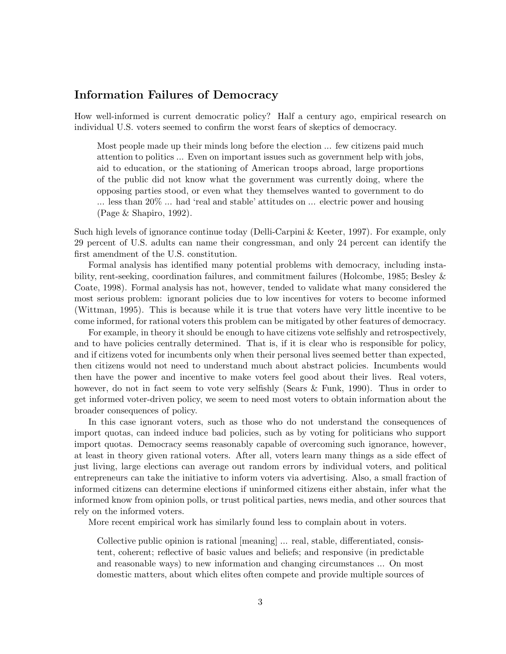# Information Failures of Democracy

How well-informed is current democratic policy? Half a century ago, empirical research on individual U.S. voters seemed to confirm the worst fears of skeptics of democracy.

Most people made up their minds long before the election ... few citizens paid much attention to politics ... Even on important issues such as government help with jobs, aid to education, or the stationing of American troops abroad, large proportions of the public did not know what the government was currently doing, where the opposing parties stood, or even what they themselves wanted to government to do ... less than 20% ... had 'real and stable' attitudes on ... electric power and housing (Page & Shapiro, 1992).

Such high levels of ignorance continue today (Delli-Carpini & Keeter, 1997). For example, only 29 percent of U.S. adults can name their congressman, and only 24 percent can identify the first amendment of the U.S. constitution.

Formal analysis has identified many potential problems with democracy, including instability, rent-seeking, coordination failures, and commitment failures (Holcombe, 1985; Besley & Coate, 1998). Formal analysis has not, however, tended to validate what many considered the most serious problem: ignorant policies due to low incentives for voters to become informed (Wittman, 1995). This is because while it is true that voters have very little incentive to be come informed, for rational voters this problem can be mitigated by other features of democracy.

For example, in theory it should be enough to have citizens vote selfishly and retrospectively, and to have policies centrally determined. That is, if it is clear who is responsible for policy, and if citizens voted for incumbents only when their personal lives seemed better than expected, then citizens would not need to understand much about abstract policies. Incumbents would then have the power and incentive to make voters feel good about their lives. Real voters, however, do not in fact seem to vote very selfishly (Sears & Funk, 1990). Thus in order to get informed voter-driven policy, we seem to need most voters to obtain information about the broader consequences of policy.

In this case ignorant voters, such as those who do not understand the consequences of import quotas, can indeed induce bad policies, such as by voting for politicians who support import quotas. Democracy seems reasonably capable of overcoming such ignorance, however, at least in theory given rational voters. After all, voters learn many things as a side effect of just living, large elections can average out random errors by individual voters, and political entrepreneurs can take the initiative to inform voters via advertising. Also, a small fraction of informed citizens can determine elections if uninformed citizens either abstain, infer what the informed know from opinion polls, or trust political parties, news media, and other sources that rely on the informed voters.

More recent empirical work has similarly found less to complain about in voters.

Collective public opinion is rational [meaning] ... real, stable, differentiated, consistent, coherent; reflective of basic values and beliefs; and responsive (in predictable and reasonable ways) to new information and changing circumstances ... On most domestic matters, about which elites often compete and provide multiple sources of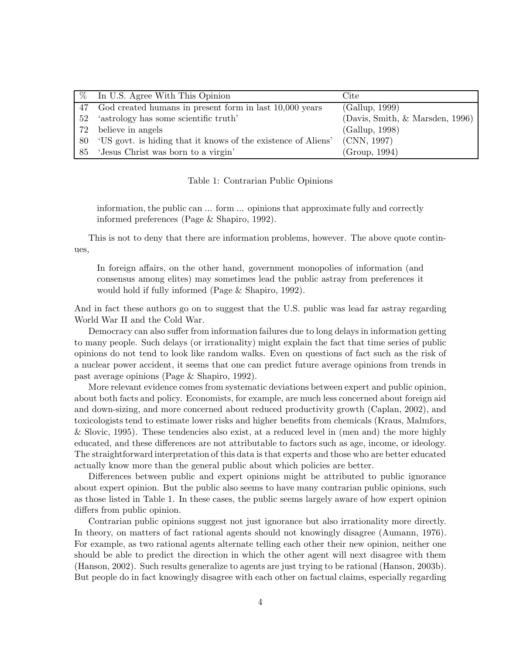|    | % In U.S. Agree With This Opinion                                | Cite                            |
|----|------------------------------------------------------------------|---------------------------------|
| 47 | God created humans in present form in last 10,000 years          | (Gallup, 1999)                  |
|    | 52 'astrology has some scientific truth'                         | (Davis, Smith, & Marsden, 1996) |
|    | 72 believe in angels                                             | (Gallup, 1998)                  |
|    | 80 'US govt. is hiding that it knows of the existence of Aliens' | (CNN, 1997)                     |
|    | 85 'Jesus Christ was born to a virgin'                           | (Group, 1994)                   |

Table 1: Contrarian Public Opinions

information, the public can ... form ... opinions that approximate fully and correctly informed preferences (Page & Shapiro, 1992).

This is not to deny that there are information problems, however. The above quote continues,

In foreign affairs, on the other hand, government monopolies of information (and consensus among elites) may sometimes lead the public astray from preferences it would hold if fully informed (Page & Shapiro, 1992).

And in fact these authors go on to suggest that the U.S. public was lead far astray regarding World War II and the Cold War.

Democracy can also suffer from information failures due to long delays in information getting to many people. Such delays (or irrationality) might explain the fact that time series of public opinions do not tend to look like random walks. Even on questions of fact such as the risk of a nuclear power accident, it seems that one can predict future average opinions from trends in past average opinions (Page & Shapiro, 1992).

More relevant evidence comes from systematic deviations between expert and public opinion, about both facts and policy. Economists, for example, are much less concerned about foreign aid and down-sizing, and more concerned about reduced productivity growth (Caplan, 2002), and toxicologists tend to estimate lower risks and higher benefits from chemicals (Kraus, Malmfors, & Slovic, 1995). These tendencies also exist, at a reduced level in (men and) the more highly educated, and these differences are not attributable to factors such as age, income, or ideology. The straightforward interpretation of this data is that experts and those who are better educated actually know more than the general public about which policies are better.

Differences between public and expert opinions might be attributed to public ignorance about expert opinion. But the public also seems to have many contrarian public opinions, such as those listed in Table 1. In these cases, the public seems largely aware of how expert opinion differs from public opinion.

Contrarian public opinions suggest not just ignorance but also irrationality more directly. In theory, on matters of fact rational agents should not knowingly disagree (Aumann, 1976). For example, as two rational agents alternate telling each other their new opinion, neither one should be able to predict the direction in which the other agent will next disagree with them (Hanson, 2002). Such results generalize to agents are just trying to be rational (Hanson, 2003b). But people do in fact knowingly disagree with each other on factual claims, especially regarding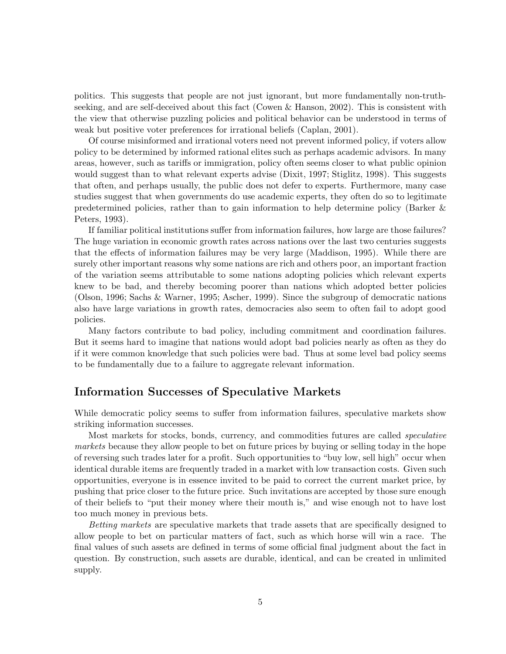politics. This suggests that people are not just ignorant, but more fundamentally non-truthseeking, and are self-deceived about this fact (Cowen & Hanson, 2002). This is consistent with the view that otherwise puzzling policies and political behavior can be understood in terms of weak but positive voter preferences for irrational beliefs (Caplan, 2001).

Of course misinformed and irrational voters need not prevent informed policy, if voters allow policy to be determined by informed rational elites such as perhaps academic advisors. In many areas, however, such as tariffs or immigration, policy often seems closer to what public opinion would suggest than to what relevant experts advise (Dixit, 1997; Stiglitz, 1998). This suggests that often, and perhaps usually, the public does not defer to experts. Furthermore, many case studies suggest that when governments do use academic experts, they often do so to legitimate predetermined policies, rather than to gain information to help determine policy (Barker & Peters, 1993).

If familiar political institutions suffer from information failures, how large are those failures? The huge variation in economic growth rates across nations over the last two centuries suggests that the effects of information failures may be very large (Maddison, 1995). While there are surely other important reasons why some nations are rich and others poor, an important fraction of the variation seems attributable to some nations adopting policies which relevant experts knew to be bad, and thereby becoming poorer than nations which adopted better policies (Olson, 1996; Sachs & Warner, 1995; Ascher, 1999). Since the subgroup of democratic nations also have large variations in growth rates, democracies also seem to often fail to adopt good policies.

Many factors contribute to bad policy, including commitment and coordination failures. But it seems hard to imagine that nations would adopt bad policies nearly as often as they do if it were common knowledge that such policies were bad. Thus at some level bad policy seems to be fundamentally due to a failure to aggregate relevant information.

# Information Successes of Speculative Markets

While democratic policy seems to suffer from information failures, speculative markets show striking information successes.

Most markets for stocks, bonds, currency, and commodities futures are called speculative markets because they allow people to bet on future prices by buying or selling today in the hope of reversing such trades later for a profit. Such opportunities to "buy low, sell high" occur when identical durable items are frequently traded in a market with low transaction costs. Given such opportunities, everyone is in essence invited to be paid to correct the current market price, by pushing that price closer to the future price. Such invitations are accepted by those sure enough of their beliefs to "put their money where their mouth is," and wise enough not to have lost too much money in previous bets.

Betting markets are speculative markets that trade assets that are specifically designed to allow people to bet on particular matters of fact, such as which horse will win a race. The final values of such assets are defined in terms of some official final judgment about the fact in question. By construction, such assets are durable, identical, and can be created in unlimited supply.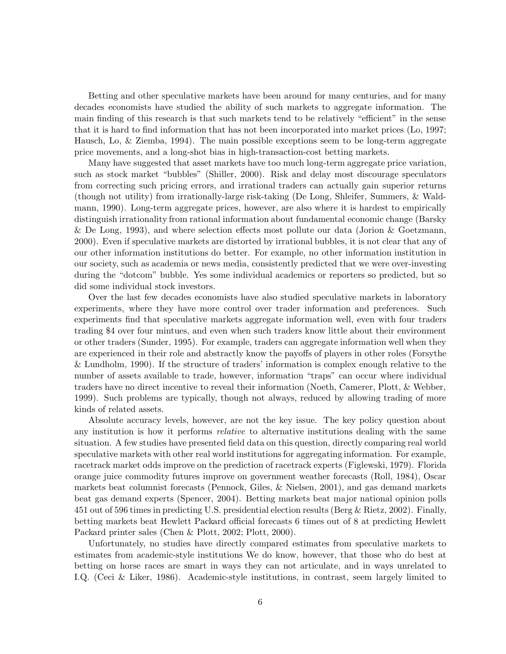Betting and other speculative markets have been around for many centuries, and for many decades economists have studied the ability of such markets to aggregate information. The main finding of this research is that such markets tend to be relatively "efficient" in the sense that it is hard to find information that has not been incorporated into market prices (Lo, 1997; Hausch, Lo, & Ziemba, 1994). The main possible exceptions seem to be long-term aggregate price movements, and a long-shot bias in high-transaction-cost betting markets.

Many have suggested that asset markets have too much long-term aggregate price variation, such as stock market "bubbles" (Shiller, 2000). Risk and delay most discourage speculators from correcting such pricing errors, and irrational traders can actually gain superior returns (though not utility) from irrationally-large risk-taking (De Long, Shleifer, Summers, & Waldmann, 1990). Long-term aggregate prices, however, are also where it is hardest to empirically distinguish irrationality from rational information about fundamental economic change (Barsky & De Long, 1993), and where selection effects most pollute our data (Jorion & Goetzmann, 2000). Even if speculative markets are distorted by irrational bubbles, it is not clear that any of our other information institutions do better. For example, no other information institution in our society, such as academia or news media, consistently predicted that we were over-investing during the "dotcom" bubble. Yes some individual academics or reporters so predicted, but so did some individual stock investors.

Over the last few decades economists have also studied speculative markets in laboratory experiments, where they have more control over trader information and preferences. Such experiments find that speculative markets aggregate information well, even with four traders trading \$4 over four mintues, and even when such traders know little about their environment or other traders (Sunder, 1995). For example, traders can aggregate information well when they are experienced in their role and abstractly know the payoffs of players in other roles (Forsythe & Lundholm, 1990). If the structure of traders' information is complex enough relative to the number of assets available to trade, however, information "traps" can occur where individual traders have no direct incentive to reveal their information (Noeth, Camerer, Plott, & Webber, 1999). Such problems are typically, though not always, reduced by allowing trading of more kinds of related assets.

Absolute accuracy levels, however, are not the key issue. The key policy question about any institution is how it performs *relative* to alternative institutions dealing with the same situation. A few studies have presented field data on this question, directly comparing real world speculative markets with other real world institutions for aggregating information. For example, racetrack market odds improve on the prediction of racetrack experts (Figlewski, 1979). Florida orange juice commodity futures improve on government weather forecasts (Roll, 1984), Oscar markets beat columnist forecasts (Pennock, Giles, & Nielsen, 2001), and gas demand markets beat gas demand experts (Spencer, 2004). Betting markets beat major national opinion polls 451 out of 596 times in predicting U.S. presidential election results (Berg & Rietz, 2002). Finally, betting markets beat Hewlett Packard official forecasts 6 times out of 8 at predicting Hewlett Packard printer sales (Chen & Plott, 2002; Plott, 2000).

Unfortunately, no studies have directly compared estimates from speculative markets to estimates from academic-style institutions We do know, however, that those who do best at betting on horse races are smart in ways they can not articulate, and in ways unrelated to I.Q. (Ceci & Liker, 1986). Academic-style institutions, in contrast, seem largely limited to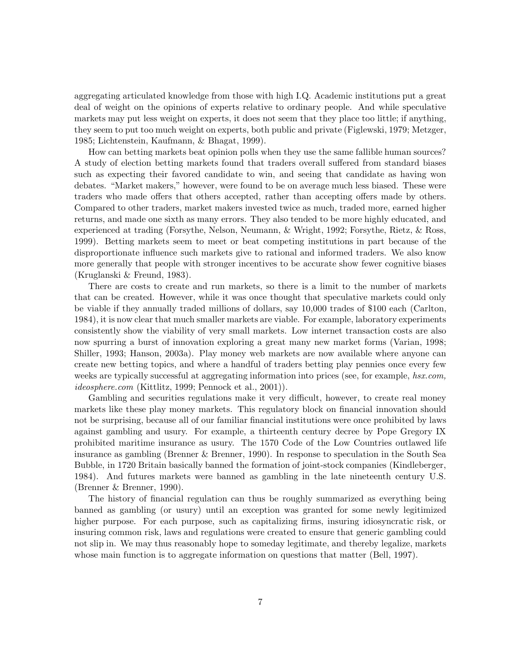aggregating articulated knowledge from those with high I.Q. Academic institutions put a great deal of weight on the opinions of experts relative to ordinary people. And while speculative markets may put less weight on experts, it does not seem that they place too little; if anything, they seem to put too much weight on experts, both public and private (Figlewski, 1979; Metzger, 1985; Lichtenstein, Kaufmann, & Bhagat, 1999).

How can betting markets beat opinion polls when they use the same fallible human sources? A study of election betting markets found that traders overall suffered from standard biases such as expecting their favored candidate to win, and seeing that candidate as having won debates. "Market makers," however, were found to be on average much less biased. These were traders who made offers that others accepted, rather than accepting offers made by others. Compared to other traders, market makers invested twice as much, traded more, earned higher returns, and made one sixth as many errors. They also tended to be more highly educated, and experienced at trading (Forsythe, Nelson, Neumann, & Wright, 1992; Forsythe, Rietz, & Ross, 1999). Betting markets seem to meet or beat competing institutions in part because of the disproportionate influence such markets give to rational and informed traders. We also know more generally that people with stronger incentives to be accurate show fewer cognitive biases (Kruglanski & Freund, 1983).

There are costs to create and run markets, so there is a limit to the number of markets that can be created. However, while it was once thought that speculative markets could only be viable if they annually traded millions of dollars, say 10,000 trades of \$100 each (Carlton, 1984), it is now clear that much smaller markets are viable. For example, laboratory experiments consistently show the viability of very small markets. Low internet transaction costs are also now spurring a burst of innovation exploring a great many new market forms (Varian, 1998; Shiller, 1993; Hanson, 2003a). Play money web markets are now available where anyone can create new betting topics, and where a handful of traders betting play pennies once every few weeks are typically successful at aggregating information into prices (see, for example, hsx.com, ideosphere.com (Kittlitz, 1999; Pennock et al., 2001)).

Gambling and securities regulations make it very difficult, however, to create real money markets like these play money markets. This regulatory block on financial innovation should not be surprising, because all of our familiar financial institutions were once prohibited by laws against gambling and usury. For example, a thirteenth century decree by Pope Gregory IX prohibited maritime insurance as usury. The 1570 Code of the Low Countries outlawed life insurance as gambling (Brenner & Brenner, 1990). In response to speculation in the South Sea Bubble, in 1720 Britain basically banned the formation of joint-stock companies (Kindleberger, 1984). And futures markets were banned as gambling in the late nineteenth century U.S. (Brenner & Brenner, 1990).

The history of financial regulation can thus be roughly summarized as everything being banned as gambling (or usury) until an exception was granted for some newly legitimized higher purpose. For each purpose, such as capitalizing firms, insuring idiosyncratic risk, or insuring common risk, laws and regulations were created to ensure that generic gambling could not slip in. We may thus reasonably hope to someday legitimate, and thereby legalize, markets whose main function is to aggregate information on questions that matter (Bell, 1997).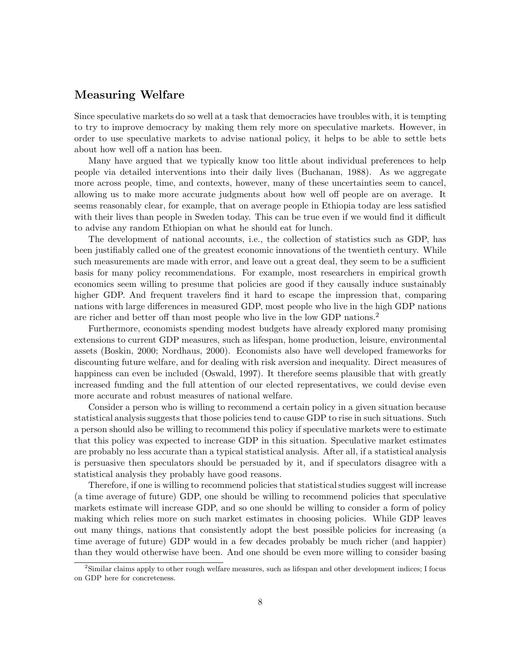# Measuring Welfare

Since speculative markets do so well at a task that democracies have troubles with, it is tempting to try to improve democracy by making them rely more on speculative markets. However, in order to use speculative markets to advise national policy, it helps to be able to settle bets about how well off a nation has been.

Many have argued that we typically know too little about individual preferences to help people via detailed interventions into their daily lives (Buchanan, 1988). As we aggregate more across people, time, and contexts, however, many of these uncertainties seem to cancel, allowing us to make more accurate judgments about how well off people are on average. It seems reasonably clear, for example, that on average people in Ethiopia today are less satisfied with their lives than people in Sweden today. This can be true even if we would find it difficult to advise any random Ethiopian on what he should eat for lunch.

The development of national accounts, i.e., the collection of statistics such as GDP, has been justifiably called one of the greatest economic innovations of the twentieth century. While such measurements are made with error, and leave out a great deal, they seem to be a sufficient basis for many policy recommendations. For example, most researchers in empirical growth economics seem willing to presume that policies are good if they causally induce sustainably higher GDP. And frequent travelers find it hard to escape the impression that, comparing nations with large differences in measured GDP, most people who live in the high GDP nations are richer and better off than most people who live in the low GDP nations.<sup>2</sup>

Furthermore, economists spending modest budgets have already explored many promising extensions to current GDP measures, such as lifespan, home production, leisure, environmental assets (Boskin, 2000; Nordhaus, 2000). Economists also have well developed frameworks for discounting future welfare, and for dealing with risk aversion and inequality. Direct measures of happiness can even be included (Oswald, 1997). It therefore seems plausible that with greatly increased funding and the full attention of our elected representatives, we could devise even more accurate and robust measures of national welfare.

Consider a person who is willing to recommend a certain policy in a given situation because statistical analysis suggests that those policies tend to cause GDP to rise in such situations. Such a person should also be willing to recommend this policy if speculative markets were to estimate that this policy was expected to increase GDP in this situation. Speculative market estimates are probably no less accurate than a typical statistical analysis. After all, if a statistical analysis is persuasive then speculators should be persuaded by it, and if speculators disagree with a statistical analysis they probably have good reasons.

Therefore, if one is willing to recommend policies that statistical studies suggest will increase (a time average of future) GDP, one should be willing to recommend policies that speculative markets estimate will increase GDP, and so one should be willing to consider a form of policy making which relies more on such market estimates in choosing policies. While GDP leaves out many things, nations that consistently adopt the best possible policies for increasing (a time average of future) GDP would in a few decades probably be much richer (and happier) than they would otherwise have been. And one should be even more willing to consider basing

<sup>&</sup>lt;sup>2</sup>Similar claims apply to other rough welfare measures, such as lifespan and other development indices; I focus on GDP here for concreteness.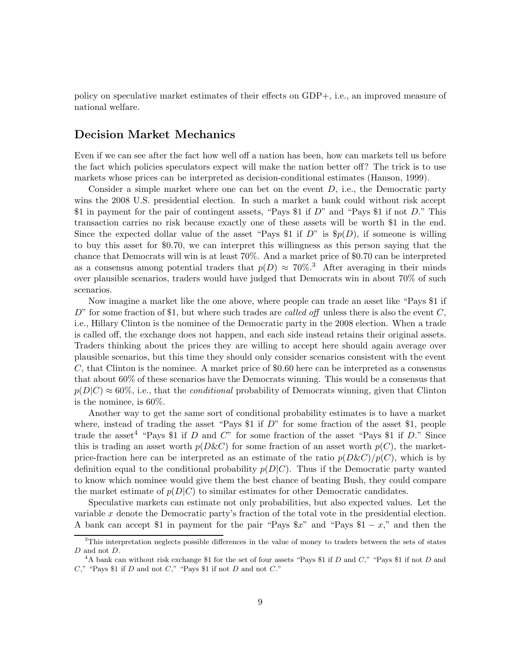policy on speculative market estimates of their effects on GDP+, i.e., an improved measure of national welfare.

# Decision Market Mechanics

Even if we can see after the fact how well off a nation has been, how can markets tell us before the fact which policies speculators expect will make the nation better off? The trick is to use markets whose prices can be interpreted as decision-conditional estimates (Hanson, 1999).

Consider a simple market where one can bet on the event  $D$ , i.e., the Democratic party wins the 2008 U.S. presidential election. In such a market a bank could without risk accept \$1 in payment for the pair of contingent assets, "Pays \$1 if  $D$ " and "Pays \$1 if not  $D$ ." This transaction carries no risk because exactly one of these assets will be worth \$1 in the end. Since the expected dollar value of the asset "Pays \$1 if  $D$ " is  $\mathcal{S}_p(D)$ , if someone is willing to buy this asset for \$0.70, we can interpret this willingness as this person saying that the chance that Democrats will win is at least 70%. And a market price of \$0.70 can be interpreted as a consensus among potential traders that  $p(D) \approx 70\%$ .<sup>3</sup> After averaging in their minds over plausible scenarios, traders would have judged that Democrats win in about 70% of such scenarios.

Now imagine a market like the one above, where people can trade an asset like "Pays \$1 if  $D^{\prime\prime}$  for some fraction of \$1, but where such trades are called off unless there is also the event C, i.e., Hillary Clinton is the nominee of the Democratic party in the 2008 election. When a trade is called off, the exchange does not happen, and each side instead retains their original assets. Traders thinking about the prices they are willing to accept here should again average over plausible scenarios, but this time they should only consider scenarios consistent with the event  $C$ , that Clinton is the nominee. A market price of \$0.60 here can be interpreted as a consensus that about 60% of these scenarios have the Democrats winning. This would be a consensus that  $p(D|C) \approx 60\%$ , i.e., that the *conditional* probability of Democrats winning, given that Clinton is the nominee, is 60%.

Another way to get the same sort of conditional probability estimates is to have a market where, instead of trading the asset "Pays \$1 if  $D$ " for some fraction of the asset \$1, people trade the asset<sup>4</sup> "Pays \$1 if D and C" for some fraction of the asset "Pays \$1 if D." Since this is trading an asset worth  $p(D\&C)$  for some fraction of an asset worth  $p(C)$ , the marketprice-fraction here can be interpreted as an estimate of the ratio  $p(D\&C)/p(C)$ , which is by definition equal to the conditional probability  $p(D|C)$ . Thus if the Democratic party wanted to know which nominee would give them the best chance of beating Bush, they could compare the market estimate of  $p(D|C)$  to similar estimates for other Democratic candidates.

Speculative markets can estimate not only probabilities, but also expected values. Let the variable  $x$  denote the Democratic party's fraction of the total vote in the presidential election. A bank can accept \$1 in payment for the pair "Pays  $x$ " and "Pays \$1 – x," and then the

<sup>&</sup>lt;sup>3</sup>This interpretation neglects possible differences in the value of money to traders between the sets of states  ${\cal D}$  and not  ${\cal D}.$ 

<sup>&</sup>lt;sup>4</sup>A bank can without risk exchange \$1 for the set of four assets "Pays \$1 if D and C," "Pays \$1 if not D and  $C$ ," "Pays \$1 if  $D$  and not  $C$ ," "Pays \$1 if not  $D$  and not  $C$ ."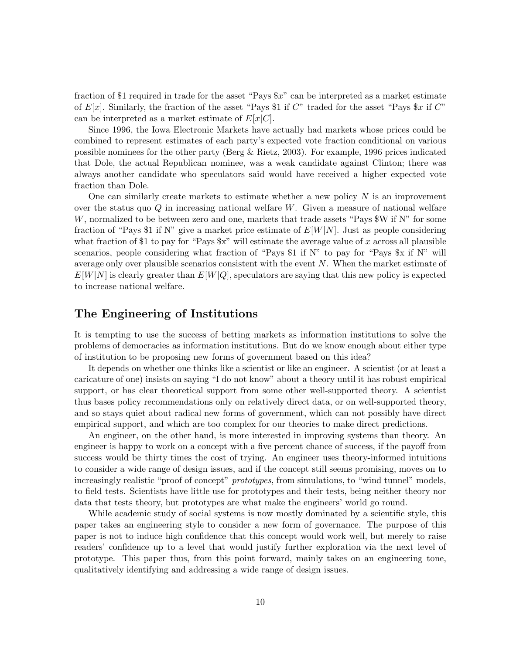fraction of \$1 required in trade for the asset "Pays \$x" can be interpreted as a market estimate of  $E[x]$ . Similarly, the fraction of the asset "Pays \$1 if C" traded for the asset "Pays \$x if C" can be interpreted as a market estimate of  $E[x|C]$ .

Since 1996, the Iowa Electronic Markets have actually had markets whose prices could be combined to represent estimates of each party's expected vote fraction conditional on various possible nominees for the other party (Berg & Rietz, 2003). For example, 1996 prices indicated that Dole, the actual Republican nominee, was a weak candidate against Clinton; there was always another candidate who speculators said would have received a higher expected vote fraction than Dole.

One can similarly create markets to estimate whether a new policy  $N$  is an improvement over the status quo  $Q$  in increasing national welfare  $W$ . Given a measure of national welfare W, normalized to be between zero and one, markets that trade assets "Pays \$W if N" for some fraction of "Pays \$1 if N" give a market price estimate of  $E[W|N]$ . Just as people considering what fraction of \$1 to pay for "Pays  $x$ " will estimate the average value of x across all plausible scenarios, people considering what fraction of "Pays \$1 if N" to pay for "Pays \$x if N" will average only over plausible scenarios consistent with the event  $N$ . When the market estimate of  $E[W|N]$  is clearly greater than  $E[W|Q]$ , speculators are saying that this new policy is expected to increase national welfare.

# The Engineering of Institutions

It is tempting to use the success of betting markets as information institutions to solve the problems of democracies as information institutions. But do we know enough about either type of institution to be proposing new forms of government based on this idea?

It depends on whether one thinks like a scientist or like an engineer. A scientist (or at least a caricature of one) insists on saying "I do not know" about a theory until it has robust empirical support, or has clear theoretical support from some other well-supported theory. A scientist thus bases policy recommendations only on relatively direct data, or on well-supported theory, and so stays quiet about radical new forms of government, which can not possibly have direct empirical support, and which are too complex for our theories to make direct predictions.

An engineer, on the other hand, is more interested in improving systems than theory. An engineer is happy to work on a concept with a five percent chance of success, if the payoff from success would be thirty times the cost of trying. An engineer uses theory-informed intuitions to consider a wide range of design issues, and if the concept still seems promising, moves on to increasingly realistic "proof of concept" *prototypes*, from simulations, to "wind tunnel" models, to field tests. Scientists have little use for prototypes and their tests, being neither theory nor data that tests theory, but prototypes are what make the engineers' world go round.

While academic study of social systems is now mostly dominated by a scientific style, this paper takes an engineering style to consider a new form of governance. The purpose of this paper is not to induce high confidence that this concept would work well, but merely to raise readers' confidence up to a level that would justify further exploration via the next level of prototype. This paper thus, from this point forward, mainly takes on an engineering tone, qualitatively identifying and addressing a wide range of design issues.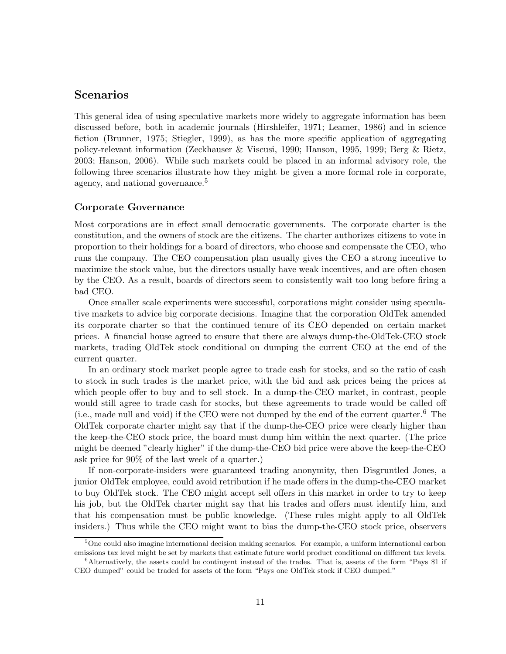# Scenarios

This general idea of using speculative markets more widely to aggregate information has been discussed before, both in academic journals (Hirshleifer, 1971; Leamer, 1986) and in science fiction (Brunner, 1975; Stiegler, 1999), as has the more specific application of aggregating policy-relevant information (Zeckhauser & Viscusi, 1990; Hanson, 1995, 1999; Berg & Rietz, 2003; Hanson, 2006). While such markets could be placed in an informal advisory role, the following three scenarios illustrate how they might be given a more formal role in corporate, agency, and national governance.<sup>5</sup>

## Corporate Governance

Most corporations are in effect small democratic governments. The corporate charter is the constitution, and the owners of stock are the citizens. The charter authorizes citizens to vote in proportion to their holdings for a board of directors, who choose and compensate the CEO, who runs the company. The CEO compensation plan usually gives the CEO a strong incentive to maximize the stock value, but the directors usually have weak incentives, and are often chosen by the CEO. As a result, boards of directors seem to consistently wait too long before firing a bad CEO.

Once smaller scale experiments were successful, corporations might consider using speculative markets to advice big corporate decisions. Imagine that the corporation OldTek amended its corporate charter so that the continued tenure of its CEO depended on certain market prices. A financial house agreed to ensure that there are always dump-the-OldTek-CEO stock markets, trading OldTek stock conditional on dumping the current CEO at the end of the current quarter.

In an ordinary stock market people agree to trade cash for stocks, and so the ratio of cash to stock in such trades is the market price, with the bid and ask prices being the prices at which people offer to buy and to sell stock. In a dump-the-CEO market, in contrast, people would still agree to trade cash for stocks, but these agreements to trade would be called off (i.e., made null and void) if the CEO were not dumped by the end of the current quarter.<sup>6</sup> The OldTek corporate charter might say that if the dump-the-CEO price were clearly higher than the keep-the-CEO stock price, the board must dump him within the next quarter. (The price might be deemed "clearly higher" if the dump-the-CEO bid price were above the keep-the-CEO ask price for 90% of the last week of a quarter.)

If non-corporate-insiders were guaranteed trading anonymity, then Disgruntled Jones, a junior OldTek employee, could avoid retribution if he made offers in the dump-the-CEO market to buy OldTek stock. The CEO might accept sell offers in this market in order to try to keep his job, but the OldTek charter might say that his trades and offers must identify him, and that his compensation must be public knowledge. (These rules might apply to all OldTek insiders.) Thus while the CEO might want to bias the dump-the-CEO stock price, observers

<sup>5</sup>One could also imagine international decision making scenarios. For example, a uniform international carbon emissions tax level might be set by markets that estimate future world product conditional on different tax levels. <sup>6</sup>Alternatively, the assets could be contingent instead of the trades. That is, assets of the form "Pays \$1 if

CEO dumped" could be traded for assets of the form "Pays one OldTek stock if CEO dumped."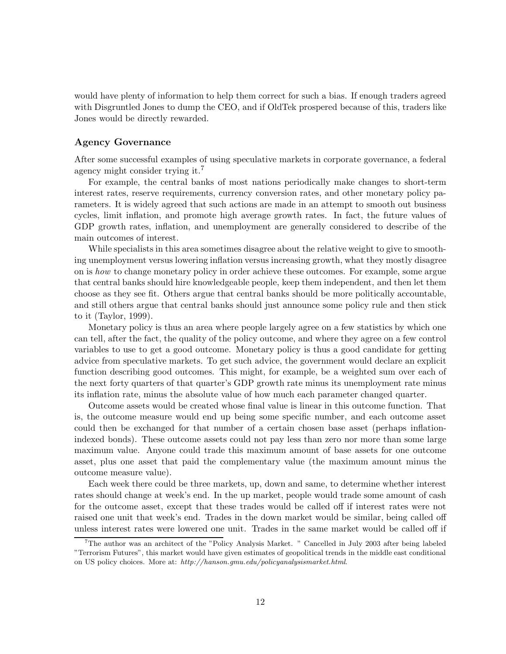would have plenty of information to help them correct for such a bias. If enough traders agreed with Disgruntled Jones to dump the CEO, and if OldTek prospered because of this, traders like Jones would be directly rewarded.

## Agency Governance

After some successful examples of using speculative markets in corporate governance, a federal agency might consider trying it.<sup>7</sup>

For example, the central banks of most nations periodically make changes to short-term interest rates, reserve requirements, currency conversion rates, and other monetary policy parameters. It is widely agreed that such actions are made in an attempt to smooth out business cycles, limit inflation, and promote high average growth rates. In fact, the future values of GDP growth rates, inflation, and unemployment are generally considered to describe of the main outcomes of interest.

While specialists in this area sometimes disagree about the relative weight to give to smoothing unemployment versus lowering inflation versus increasing growth, what they mostly disagree on is how to change monetary policy in order achieve these outcomes. For example, some argue that central banks should hire knowledgeable people, keep them independent, and then let them choose as they see fit. Others argue that central banks should be more politically accountable, and still others argue that central banks should just announce some policy rule and then stick to it (Taylor, 1999).

Monetary policy is thus an area where people largely agree on a few statistics by which one can tell, after the fact, the quality of the policy outcome, and where they agree on a few control variables to use to get a good outcome. Monetary policy is thus a good candidate for getting advice from speculative markets. To get such advice, the government would declare an explicit function describing good outcomes. This might, for example, be a weighted sum over each of the next forty quarters of that quarter's GDP growth rate minus its unemployment rate minus its inflation rate, minus the absolute value of how much each parameter changed quarter.

Outcome assets would be created whose final value is linear in this outcome function. That is, the outcome measure would end up being some specific number, and each outcome asset could then be exchanged for that number of a certain chosen base asset (perhaps inflationindexed bonds). These outcome assets could not pay less than zero nor more than some large maximum value. Anyone could trade this maximum amount of base assets for one outcome asset, plus one asset that paid the complementary value (the maximum amount minus the outcome measure value).

Each week there could be three markets, up, down and same, to determine whether interest rates should change at week's end. In the up market, people would trade some amount of cash for the outcome asset, except that these trades would be called off if interest rates were not raised one unit that week's end. Trades in the down market would be similar, being called off unless interest rates were lowered one unit. Trades in the same market would be called off if

<sup>7</sup>The author was an architect of the "Policy Analysis Market. " Cancelled in July 2003 after being labeled "Terrorism Futures", this market would have given estimates of geopolitical trends in the middle east conditional on US policy choices. More at: http://hanson.gmu.edu/policyanalysismarket.html.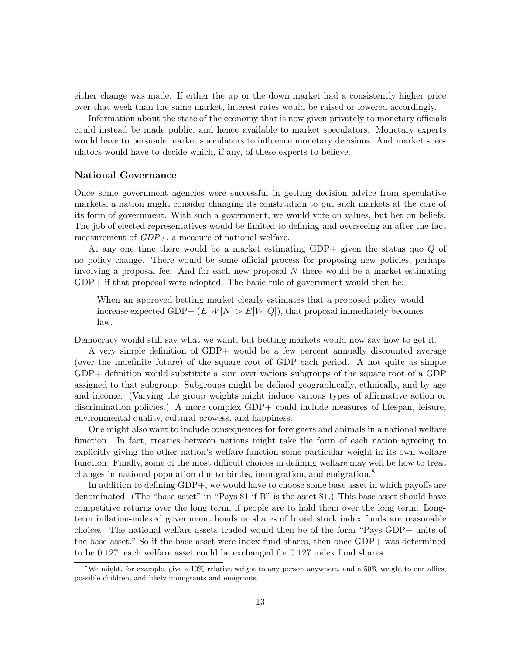either change was made. If either the up or the down market had a consistently higher price over that week than the same market, interest rates would be raised or lowered accordingly.

Information about the state of the economy that is now given privately to monetary officials could instead be made public, and hence available to market speculators. Monetary experts would have to persuade market speculators to influence monetary decisions. And market speculators would have to decide which, if any, of these experts to believe.

#### National Governance

Once some government agencies were successful in getting decision advice from speculative markets, a nation might consider changing its constitution to put such markets at the core of its form of government. With such a government, we would vote on values, but bet on beliefs. The job of elected representatives would be limited to defining and overseeing an after the fact measurement of  $GDP +$ , a measure of national welfare.

At any one time there would be a market estimating GDP+ given the status quo Q of no policy change. There would be some official process for proposing new policies, perhaps involving a proposal fee. And for each new proposal  $N$  there would be a market estimating GDP+ if that proposal were adopted. The basic rule of government would then be:

When an approved betting market clearly estimates that a proposed policy would increase expected GDP+  $(E[W|N] > E[W|Q])$ , that proposal immediately becomes law.

Democracy would still say what we want, but betting markets would now say how to get it.

A very simple definition of GDP+ would be a few percent annually discounted average (over the indefinite future) of the square root of GDP each period. A not quite as simple GDP+ definition would substitute a sum over various subgroups of the square root of a GDP assigned to that subgroup. Subgroups might be defined geographically, ethnically, and by age and income. (Varying the group weights might induce various types of affirmative action or discrimination policies.) A more complex GDP+ could include measures of lifespan, leisure, environmental quality, cultural prowess, and happiness.

One might also want to include consequences for foreigners and animals in a national welfare function. In fact, treaties between nations might take the form of each nation agreeing to explicitly giving the other nation's welfare function some particular weight in its own welfare function. Finally, some of the most difficult choices in defining welfare may well be how to treat changes in national population due to births, immigration, and emigration.<sup>8</sup>

In addition to defining GDP+, we would have to choose some base asset in which payoffs are denominated. (The "base asset" in "Pays \$1 if B" is the asset \$1.) This base asset should have competitive returns over the long term, if people are to hold them over the long term. Longterm inflation-indexed government bonds or shares of broad stock index funds are reasonable choices. The national welfare assets traded would then be of the form "Pays GDP+ units of the base asset." So if the base asset were index fund shares, then once GDP+ was determined to be 0.127, each welfare asset could be exchanged for 0.127 index fund shares.

<sup>&</sup>lt;sup>8</sup>We might, for example, give a  $10\%$  relative weight to any person anywhere, and a  $50\%$  weight to our allies, possible children, and likely immigrants and emigrants.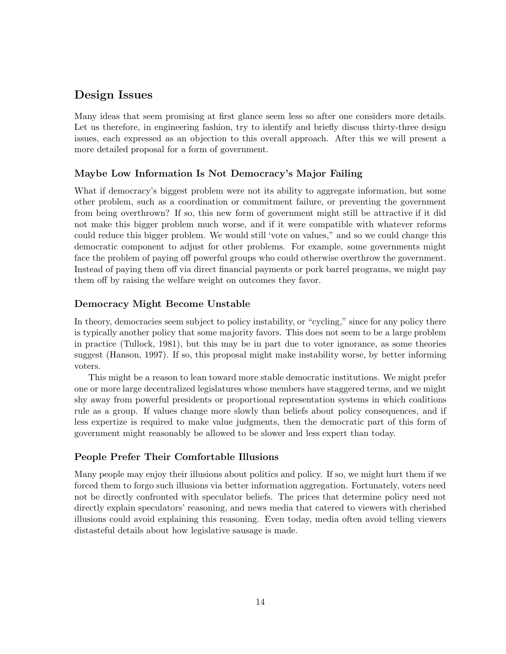# Design Issues

Many ideas that seem promising at first glance seem less so after one considers more details. Let us therefore, in engineering fashion, try to identify and briefly discuss thirty-three design issues, each expressed as an objection to this overall approach. After this we will present a more detailed proposal for a form of government.

# Maybe Low Information Is Not Democracy's Major Failing

What if democracy's biggest problem were not its ability to aggregate information, but some other problem, such as a coordination or commitment failure, or preventing the government from being overthrown? If so, this new form of government might still be attractive if it did not make this bigger problem much worse, and if it were compatible with whatever reforms could reduce this bigger problem. We would still 'vote on values," and so we could change this democratic component to adjust for other problems. For example, some governments might face the problem of paying off powerful groups who could otherwise overthrow the government. Instead of paying them off via direct financial payments or pork barrel programs, we might pay them off by raising the welfare weight on outcomes they favor.

# Democracy Might Become Unstable

In theory, democracies seem subject to policy instability, or "cycling," since for any policy there is typically another policy that some majority favors. This does not seem to be a large problem in practice (Tullock, 1981), but this may be in part due to voter ignorance, as some theories suggest (Hanson, 1997). If so, this proposal might make instability worse, by better informing voters.

This might be a reason to lean toward more stable democratic institutions. We might prefer one or more large decentralized legislatures whose members have staggered terms, and we might shy away from powerful presidents or proportional representation systems in which coalitions rule as a group. If values change more slowly than beliefs about policy consequences, and if less expertize is required to make value judgments, then the democratic part of this form of government might reasonably be allowed to be slower and less expert than today.

# People Prefer Their Comfortable Illusions

Many people may enjoy their illusions about politics and policy. If so, we might hurt them if we forced them to forgo such illusions via better information aggregation. Fortunately, voters need not be directly confronted with speculator beliefs. The prices that determine policy need not directly explain speculators' reasoning, and news media that catered to viewers with cherished illusions could avoid explaining this reasoning. Even today, media often avoid telling viewers distasteful details about how legislative sausage is made.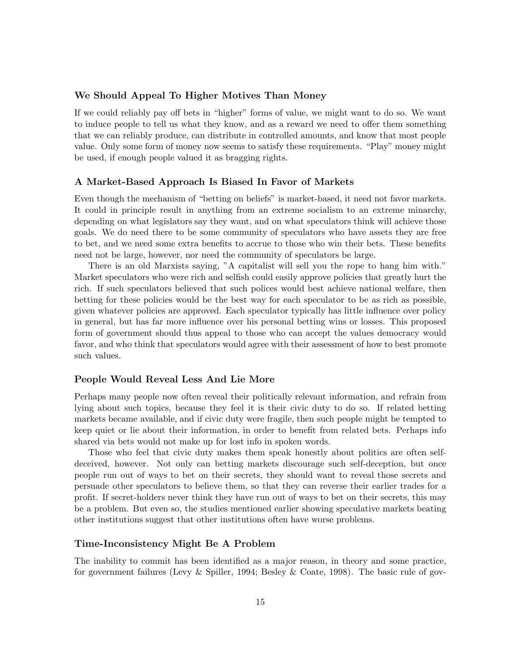## We Should Appeal To Higher Motives Than Money

If we could reliably pay off bets in "higher" forms of value, we might want to do so. We want to induce people to tell us what they know, and as a reward we need to offer them something that we can reliably produce, can distribute in controlled amounts, and know that most people value. Only some form of money now seems to satisfy these requirements. "Play" money might be used, if enough people valued it as bragging rights.

#### A Market-Based Approach Is Biased In Favor of Markets

Even though the mechanism of "betting on beliefs" is market-based, it need not favor markets. It could in principle result in anything from an extreme socialism to an extreme minarchy, depending on what legislators say they want, and on what speculators think will achieve those goals. We do need there to be some community of speculators who have assets they are free to bet, and we need some extra benefits to accrue to those who win their bets. These benefits need not be large, however, nor need the community of speculators be large.

There is an old Marxists saying, "A capitalist will sell you the rope to hang him with." Market speculators who were rich and selfish could easily approve policies that greatly hurt the rich. If such speculators believed that such polices would best achieve national welfare, then betting for these policies would be the best way for each speculator to be as rich as possible, given whatever policies are approved. Each speculator typically has little influence over policy in general, but has far more influence over his personal betting wins or losses. This proposed form of government should thus appeal to those who can accept the values democracy would favor, and who think that speculators would agree with their assessment of how to best promote such values.

### People Would Reveal Less And Lie More

Perhaps many people now often reveal their politically relevant information, and refrain from lying about such topics, because they feel it is their civic duty to do so. If related betting markets became available, and if civic duty were fragile, then such people might be tempted to keep quiet or lie about their information, in order to benefit from related bets. Perhaps info shared via bets would not make up for lost info in spoken words.

Those who feel that civic duty makes them speak honestly about politics are often selfdeceived, however. Not only can betting markets discourage such self-deception, but once people run out of ways to bet on their secrets, they should want to reveal those secrets and persuade other speculators to believe them, so that they can reverse their earlier trades for a profit. If secret-holders never think they have run out of ways to bet on their secrets, this may be a problem. But even so, the studies mentioned earlier showing speculative markets beating other institutions suggest that other institutions often have worse problems.

### Time-Inconsistency Might Be A Problem

The inability to commit has been identified as a major reason, in theory and some practice, for government failures (Levy & Spiller, 1994; Besley & Coate, 1998). The basic rule of gov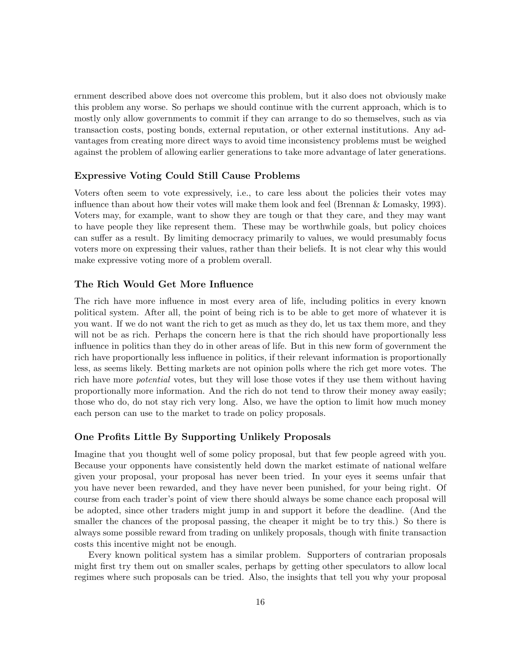ernment described above does not overcome this problem, but it also does not obviously make this problem any worse. So perhaps we should continue with the current approach, which is to mostly only allow governments to commit if they can arrange to do so themselves, such as via transaction costs, posting bonds, external reputation, or other external institutions. Any advantages from creating more direct ways to avoid time inconsistency problems must be weighed against the problem of allowing earlier generations to take more advantage of later generations.

## Expressive Voting Could Still Cause Problems

Voters often seem to vote expressively, i.e., to care less about the policies their votes may influence than about how their votes will make them look and feel (Brennan & Lomasky, 1993). Voters may, for example, want to show they are tough or that they care, and they may want to have people they like represent them. These may be worthwhile goals, but policy choices can suffer as a result. By limiting democracy primarily to values, we would presumably focus voters more on expressing their values, rather than their beliefs. It is not clear why this would make expressive voting more of a problem overall.

## The Rich Would Get More Influence

The rich have more influence in most every area of life, including politics in every known political system. After all, the point of being rich is to be able to get more of whatever it is you want. If we do not want the rich to get as much as they do, let us tax them more, and they will not be as rich. Perhaps the concern here is that the rich should have proportionally less influence in politics than they do in other areas of life. But in this new form of government the rich have proportionally less influence in politics, if their relevant information is proportionally less, as seems likely. Betting markets are not opinion polls where the rich get more votes. The rich have more *potential* votes, but they will lose those votes if they use them without having proportionally more information. And the rich do not tend to throw their money away easily; those who do, do not stay rich very long. Also, we have the option to limit how much money each person can use to the market to trade on policy proposals.

## One Profits Little By Supporting Unlikely Proposals

Imagine that you thought well of some policy proposal, but that few people agreed with you. Because your opponents have consistently held down the market estimate of national welfare given your proposal, your proposal has never been tried. In your eyes it seems unfair that you have never been rewarded, and they have never been punished, for your being right. Of course from each trader's point of view there should always be some chance each proposal will be adopted, since other traders might jump in and support it before the deadline. (And the smaller the chances of the proposal passing, the cheaper it might be to try this.) So there is always some possible reward from trading on unlikely proposals, though with finite transaction costs this incentive might not be enough.

Every known political system has a similar problem. Supporters of contrarian proposals might first try them out on smaller scales, perhaps by getting other speculators to allow local regimes where such proposals can be tried. Also, the insights that tell you why your proposal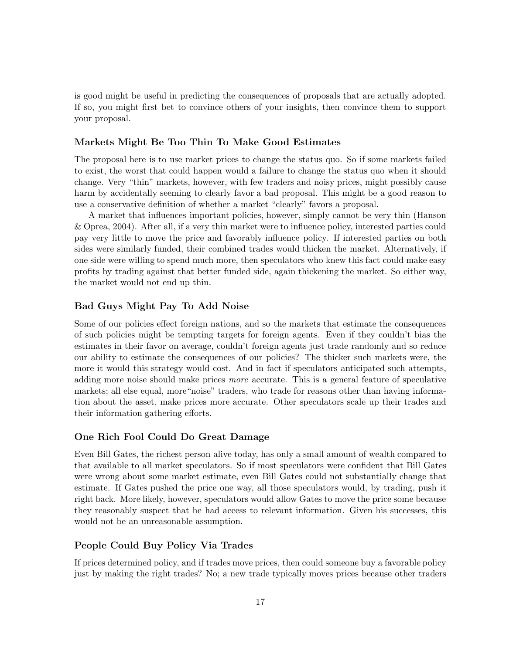is good might be useful in predicting the consequences of proposals that are actually adopted. If so, you might first bet to convince others of your insights, then convince them to support your proposal.

## Markets Might Be Too Thin To Make Good Estimates

The proposal here is to use market prices to change the status quo. So if some markets failed to exist, the worst that could happen would a failure to change the status quo when it should change. Very "thin" markets, however, with few traders and noisy prices, might possibly cause harm by accidentally seeming to clearly favor a bad proposal. This might be a good reason to use a conservative definition of whether a market "clearly" favors a proposal.

A market that influences important policies, however, simply cannot be very thin (Hanson & Oprea, 2004). After all, if a very thin market were to influence policy, interested parties could pay very little to move the price and favorably influence policy. If interested parties on both sides were similarly funded, their combined trades would thicken the market. Alternatively, if one side were willing to spend much more, then speculators who knew this fact could make easy profits by trading against that better funded side, again thickening the market. So either way, the market would not end up thin.

## Bad Guys Might Pay To Add Noise

Some of our policies effect foreign nations, and so the markets that estimate the consequences of such policies might be tempting targets for foreign agents. Even if they couldn't bias the estimates in their favor on average, couldn't foreign agents just trade randomly and so reduce our ability to estimate the consequences of our policies? The thicker such markets were, the more it would this strategy would cost. And in fact if speculators anticipated such attempts, adding more noise should make prices *more* accurate. This is a general feature of speculative markets; all else equal, more"noise" traders, who trade for reasons other than having information about the asset, make prices more accurate. Other speculators scale up their trades and their information gathering efforts.

#### One Rich Fool Could Do Great Damage

Even Bill Gates, the richest person alive today, has only a small amount of wealth compared to that available to all market speculators. So if most speculators were confident that Bill Gates were wrong about some market estimate, even Bill Gates could not substantially change that estimate. If Gates pushed the price one way, all those speculators would, by trading, push it right back. More likely, however, speculators would allow Gates to move the price some because they reasonably suspect that he had access to relevant information. Given his successes, this would not be an unreasonable assumption.

## People Could Buy Policy Via Trades

If prices determined policy, and if trades move prices, then could someone buy a favorable policy just by making the right trades? No; a new trade typically moves prices because other traders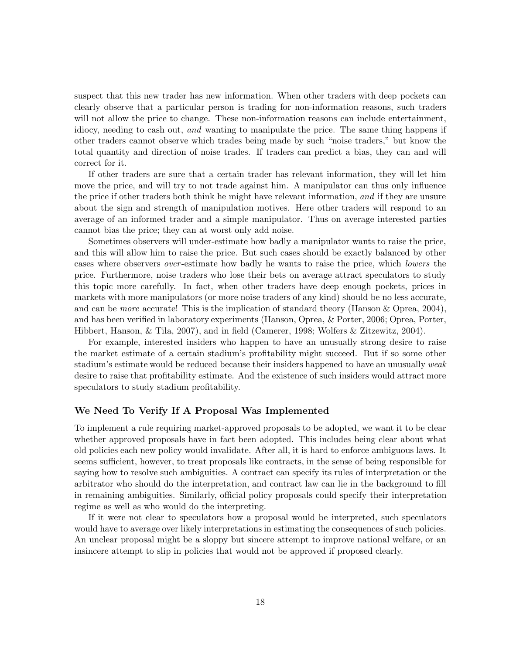suspect that this new trader has new information. When other traders with deep pockets can clearly observe that a particular person is trading for non-information reasons, such traders will not allow the price to change. These non-information reasons can include entertainment, idiocy, needing to cash out, and wanting to manipulate the price. The same thing happens if other traders cannot observe which trades being made by such "noise traders," but know the total quantity and direction of noise trades. If traders can predict a bias, they can and will correct for it.

If other traders are sure that a certain trader has relevant information, they will let him move the price, and will try to not trade against him. A manipulator can thus only influence the price if other traders both think he might have relevant information, and if they are unsure about the sign and strength of manipulation motives. Here other traders will respond to an average of an informed trader and a simple manipulator. Thus on average interested parties cannot bias the price; they can at worst only add noise.

Sometimes observers will under-estimate how badly a manipulator wants to raise the price, and this will allow him to raise the price. But such cases should be exactly balanced by other cases where observers over -estimate how badly he wants to raise the price, which lowers the price. Furthermore, noise traders who lose their bets on average attract speculators to study this topic more carefully. In fact, when other traders have deep enough pockets, prices in markets with more manipulators (or more noise traders of any kind) should be no less accurate, and can be *more* accurate! This is the implication of standard theory (Hanson  $\&$  Oprea, 2004), and has been verified in laboratory experiments (Hanson, Oprea, & Porter, 2006; Oprea, Porter, Hibbert, Hanson, & Tila, 2007), and in field (Camerer, 1998; Wolfers & Zitzewitz, 2004).

For example, interested insiders who happen to have an unusually strong desire to raise the market estimate of a certain stadium's profitability might succeed. But if so some other stadium's estimate would be reduced because their insiders happened to have an unusually weak desire to raise that profitability estimate. And the existence of such insiders would attract more speculators to study stadium profitability.

### We Need To Verify If A Proposal Was Implemented

To implement a rule requiring market-approved proposals to be adopted, we want it to be clear whether approved proposals have in fact been adopted. This includes being clear about what old policies each new policy would invalidate. After all, it is hard to enforce ambiguous laws. It seems sufficient, however, to treat proposals like contracts, in the sense of being responsible for saying how to resolve such ambiguities. A contract can specify its rules of interpretation or the arbitrator who should do the interpretation, and contract law can lie in the background to fill in remaining ambiguities. Similarly, official policy proposals could specify their interpretation regime as well as who would do the interpreting.

If it were not clear to speculators how a proposal would be interpreted, such speculators would have to average over likely interpretations in estimating the consequences of such policies. An unclear proposal might be a sloppy but sincere attempt to improve national welfare, or an insincere attempt to slip in policies that would not be approved if proposed clearly.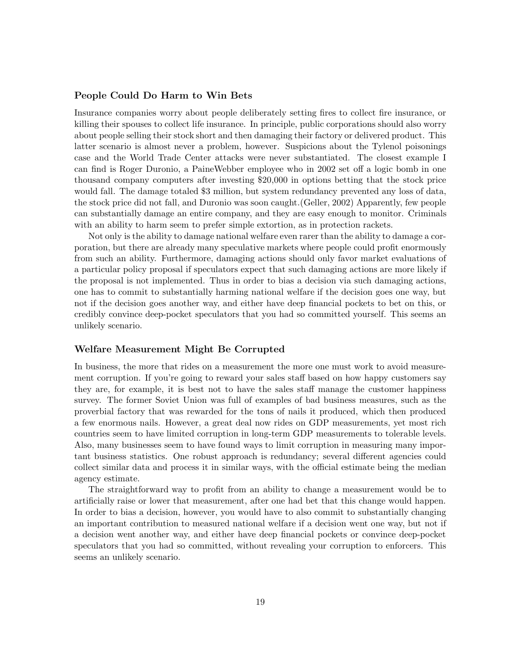#### People Could Do Harm to Win Bets

Insurance companies worry about people deliberately setting fires to collect fire insurance, or killing their spouses to collect life insurance. In principle, public corporations should also worry about people selling their stock short and then damaging their factory or delivered product. This latter scenario is almost never a problem, however. Suspicions about the Tylenol poisonings case and the World Trade Center attacks were never substantiated. The closest example I can find is Roger Duronio, a PaineWebber employee who in 2002 set off a logic bomb in one thousand company computers after investing \$20,000 in options betting that the stock price would fall. The damage totaled \$3 million, but system redundancy prevented any loss of data, the stock price did not fall, and Duronio was soon caught.(Geller, 2002) Apparently, few people can substantially damage an entire company, and they are easy enough to monitor. Criminals with an ability to harm seem to prefer simple extortion, as in protection rackets.

Not only is the ability to damage national welfare even rarer than the ability to damage a corporation, but there are already many speculative markets where people could profit enormously from such an ability. Furthermore, damaging actions should only favor market evaluations of a particular policy proposal if speculators expect that such damaging actions are more likely if the proposal is not implemented. Thus in order to bias a decision via such damaging actions, one has to commit to substantially harming national welfare if the decision goes one way, but not if the decision goes another way, and either have deep financial pockets to bet on this, or credibly convince deep-pocket speculators that you had so committed yourself. This seems an unlikely scenario.

## Welfare Measurement Might Be Corrupted

In business, the more that rides on a measurement the more one must work to avoid measurement corruption. If you're going to reward your sales staff based on how happy customers say they are, for example, it is best not to have the sales staff manage the customer happiness survey. The former Soviet Union was full of examples of bad business measures, such as the proverbial factory that was rewarded for the tons of nails it produced, which then produced a few enormous nails. However, a great deal now rides on GDP measurements, yet most rich countries seem to have limited corruption in long-term GDP measurements to tolerable levels. Also, many businesses seem to have found ways to limit corruption in measuring many important business statistics. One robust approach is redundancy; several different agencies could collect similar data and process it in similar ways, with the official estimate being the median agency estimate.

The straightforward way to profit from an ability to change a measurement would be to artificially raise or lower that measurement, after one had bet that this change would happen. In order to bias a decision, however, you would have to also commit to substantially changing an important contribution to measured national welfare if a decision went one way, but not if a decision went another way, and either have deep financial pockets or convince deep-pocket speculators that you had so committed, without revealing your corruption to enforcers. This seems an unlikely scenario.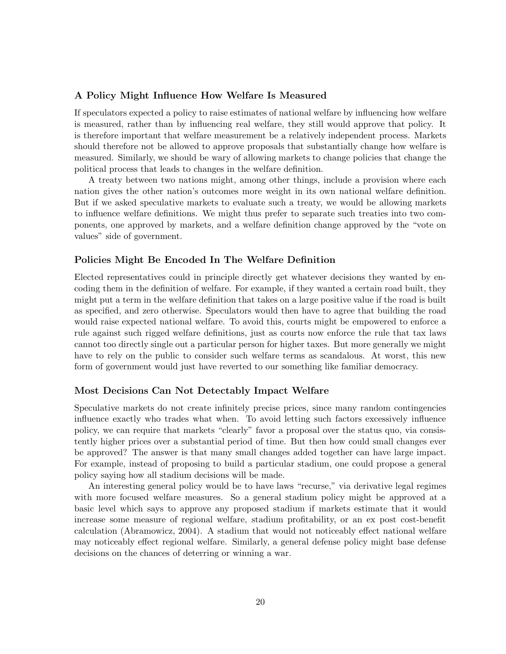## A Policy Might Influence How Welfare Is Measured

If speculators expected a policy to raise estimates of national welfare by influencing how welfare is measured, rather than by influencing real welfare, they still would approve that policy. It is therefore important that welfare measurement be a relatively independent process. Markets should therefore not be allowed to approve proposals that substantially change how welfare is measured. Similarly, we should be wary of allowing markets to change policies that change the political process that leads to changes in the welfare definition.

A treaty between two nations might, among other things, include a provision where each nation gives the other nation's outcomes more weight in its own national welfare definition. But if we asked speculative markets to evaluate such a treaty, we would be allowing markets to influence welfare definitions. We might thus prefer to separate such treaties into two components, one approved by markets, and a welfare definition change approved by the "vote on values" side of government.

## Policies Might Be Encoded In The Welfare Definition

Elected representatives could in principle directly get whatever decisions they wanted by encoding them in the definition of welfare. For example, if they wanted a certain road built, they might put a term in the welfare definition that takes on a large positive value if the road is built as specified, and zero otherwise. Speculators would then have to agree that building the road would raise expected national welfare. To avoid this, courts might be empowered to enforce a rule against such rigged welfare definitions, just as courts now enforce the rule that tax laws cannot too directly single out a particular person for higher taxes. But more generally we might have to rely on the public to consider such welfare terms as scandalous. At worst, this new form of government would just have reverted to our something like familiar democracy.

## Most Decisions Can Not Detectably Impact Welfare

Speculative markets do not create infinitely precise prices, since many random contingencies influence exactly who trades what when. To avoid letting such factors excessively influence policy, we can require that markets "clearly" favor a proposal over the status quo, via consistently higher prices over a substantial period of time. But then how could small changes ever be approved? The answer is that many small changes added together can have large impact. For example, instead of proposing to build a particular stadium, one could propose a general policy saying how all stadium decisions will be made.

An interesting general policy would be to have laws "recurse," via derivative legal regimes with more focused welfare measures. So a general stadium policy might be approved at a basic level which says to approve any proposed stadium if markets estimate that it would increase some measure of regional welfare, stadium profitability, or an ex post cost-benefit calculation (Abramowicz, 2004). A stadium that would not noticeably effect national welfare may noticeably effect regional welfare. Similarly, a general defense policy might base defense decisions on the chances of deterring or winning a war.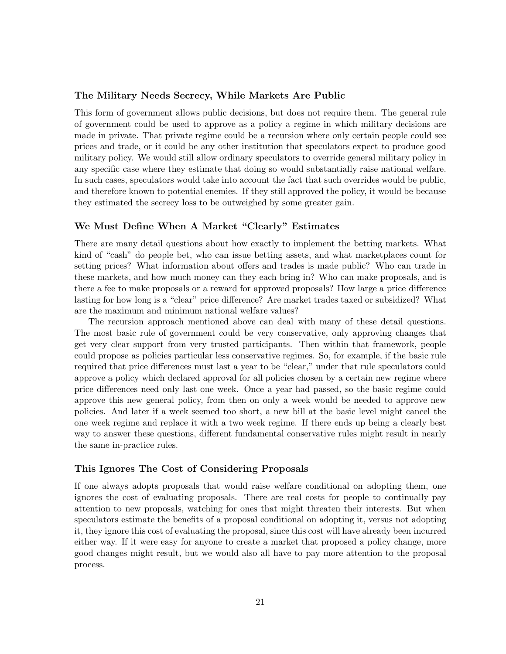## The Military Needs Secrecy, While Markets Are Public

This form of government allows public decisions, but does not require them. The general rule of government could be used to approve as a policy a regime in which military decisions are made in private. That private regime could be a recursion where only certain people could see prices and trade, or it could be any other institution that speculators expect to produce good military policy. We would still allow ordinary speculators to override general military policy in any specific case where they estimate that doing so would substantially raise national welfare. In such cases, speculators would take into account the fact that such overrides would be public, and therefore known to potential enemies. If they still approved the policy, it would be because they estimated the secrecy loss to be outweighed by some greater gain.

## We Must Define When A Market "Clearly" Estimates

There are many detail questions about how exactly to implement the betting markets. What kind of "cash" do people bet, who can issue betting assets, and what marketplaces count for setting prices? What information about offers and trades is made public? Who can trade in these markets, and how much money can they each bring in? Who can make proposals, and is there a fee to make proposals or a reward for approved proposals? How large a price difference lasting for how long is a "clear" price difference? Are market trades taxed or subsidized? What are the maximum and minimum national welfare values?

The recursion approach mentioned above can deal with many of these detail questions. The most basic rule of government could be very conservative, only approving changes that get very clear support from very trusted participants. Then within that framework, people could propose as policies particular less conservative regimes. So, for example, if the basic rule required that price differences must last a year to be "clear," under that rule speculators could approve a policy which declared approval for all policies chosen by a certain new regime where price differences need only last one week. Once a year had passed, so the basic regime could approve this new general policy, from then on only a week would be needed to approve new policies. And later if a week seemed too short, a new bill at the basic level might cancel the one week regime and replace it with a two week regime. If there ends up being a clearly best way to answer these questions, different fundamental conservative rules might result in nearly the same in-practice rules.

#### This Ignores The Cost of Considering Proposals

If one always adopts proposals that would raise welfare conditional on adopting them, one ignores the cost of evaluating proposals. There are real costs for people to continually pay attention to new proposals, watching for ones that might threaten their interests. But when speculators estimate the benefits of a proposal conditional on adopting it, versus not adopting it, they ignore this cost of evaluating the proposal, since this cost will have already been incurred either way. If it were easy for anyone to create a market that proposed a policy change, more good changes might result, but we would also all have to pay more attention to the proposal process.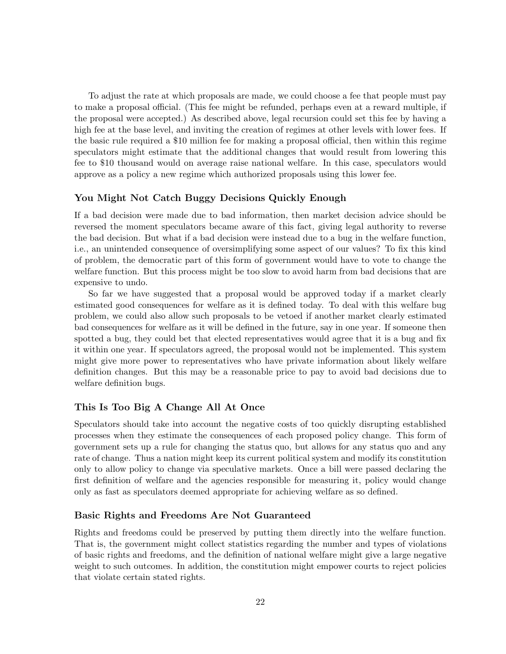To adjust the rate at which proposals are made, we could choose a fee that people must pay to make a proposal official. (This fee might be refunded, perhaps even at a reward multiple, if the proposal were accepted.) As described above, legal recursion could set this fee by having a high fee at the base level, and inviting the creation of regimes at other levels with lower fees. If the basic rule required a \$10 million fee for making a proposal official, then within this regime speculators might estimate that the additional changes that would result from lowering this fee to \$10 thousand would on average raise national welfare. In this case, speculators would approve as a policy a new regime which authorized proposals using this lower fee.

## You Might Not Catch Buggy Decisions Quickly Enough

If a bad decision were made due to bad information, then market decision advice should be reversed the moment speculators became aware of this fact, giving legal authority to reverse the bad decision. But what if a bad decision were instead due to a bug in the welfare function, i.e., an unintended consequence of oversimplifying some aspect of our values? To fix this kind of problem, the democratic part of this form of government would have to vote to change the welfare function. But this process might be too slow to avoid harm from bad decisions that are expensive to undo.

So far we have suggested that a proposal would be approved today if a market clearly estimated good consequences for welfare as it is defined today. To deal with this welfare bug problem, we could also allow such proposals to be vetoed if another market clearly estimated bad consequences for welfare as it will be defined in the future, say in one year. If someone then spotted a bug, they could bet that elected representatives would agree that it is a bug and fix it within one year. If speculators agreed, the proposal would not be implemented. This system might give more power to representatives who have private information about likely welfare definition changes. But this may be a reasonable price to pay to avoid bad decisions due to welfare definition bugs.

## This Is Too Big A Change All At Once

Speculators should take into account the negative costs of too quickly disrupting established processes when they estimate the consequences of each proposed policy change. This form of government sets up a rule for changing the status quo, but allows for any status quo and any rate of change. Thus a nation might keep its current political system and modify its constitution only to allow policy to change via speculative markets. Once a bill were passed declaring the first definition of welfare and the agencies responsible for measuring it, policy would change only as fast as speculators deemed appropriate for achieving welfare as so defined.

## Basic Rights and Freedoms Are Not Guaranteed

Rights and freedoms could be preserved by putting them directly into the welfare function. That is, the government might collect statistics regarding the number and types of violations of basic rights and freedoms, and the definition of national welfare might give a large negative weight to such outcomes. In addition, the constitution might empower courts to reject policies that violate certain stated rights.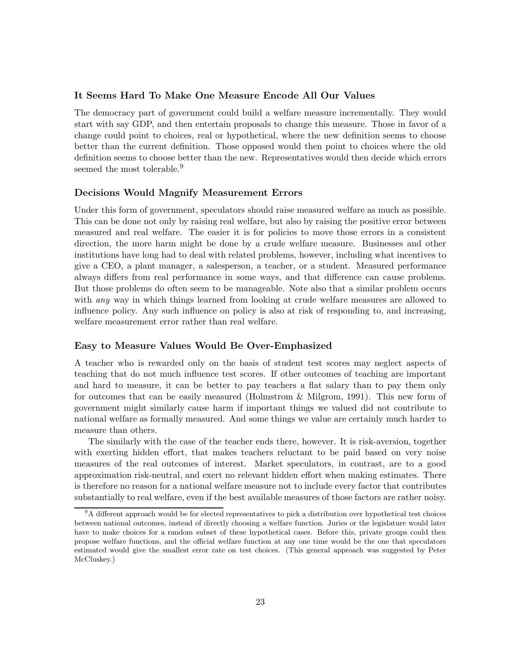## It Seems Hard To Make One Measure Encode All Our Values

The democracy part of government could build a welfare measure incrementally. They would start with say GDP, and then entertain proposals to change this measure. Those in favor of a change could point to choices, real or hypothetical, where the new definition seems to choose better than the current definition. Those opposed would then point to choices where the old definition seems to choose better than the new. Representatives would then decide which errors seemed the most tolerable.<sup>9</sup>

## Decisions Would Magnify Measurement Errors

Under this form of government, speculators should raise measured welfare as much as possible. This can be done not only by raising real welfare, but also by raising the positive error between measured and real welfare. The easier it is for policies to move those errors in a consistent direction, the more harm might be done by a crude welfare measure. Businesses and other institutions have long had to deal with related problems, however, including what incentives to give a CEO, a plant manager, a salesperson, a teacher, or a student. Measured performance always differs from real performance in some ways, and that difference can cause problems. But those problems do often seem to be manageable. Note also that a similar problem occurs with *any* way in which things learned from looking at crude welfare measures are allowed to influence policy. Any such influence on policy is also at risk of responding to, and increasing, welfare measurement error rather than real welfare.

#### Easy to Measure Values Would Be Over-Emphasized

A teacher who is rewarded only on the basis of student test scores may neglect aspects of teaching that do not much influence test scores. If other outcomes of teaching are important and hard to measure, it can be better to pay teachers a flat salary than to pay them only for outcomes that can be easily measured (Holmstrom & Milgrom, 1991). This new form of government might similarly cause harm if important things we valued did not contribute to national welfare as formally measured. And some things we value are certainly much harder to measure than others.

The similarly with the case of the teacher ends there, however. It is risk-aversion, together with exerting hidden effort, that makes teachers reluctant to be paid based on very noise measures of the real outcomes of interest. Market speculators, in contrast, are to a good approximation risk-neutral, and exert no relevant hidden effort when making estimates. There is therefore no reason for a national welfare measure not to include every factor that contributes substantially to real welfare, even if the best available measures of those factors are rather noisy.

<sup>9</sup>A different approach would be for elected representatives to pick a distribution over hypothetical test choices between national outcomes, instead of directly choosing a welfare function. Juries or the legislature would later have to make choices for a random subset of these hypothetical cases. Before this, private groups could then propose welfare functions, and the official welfare function at any one time would be the one that speculators estimated would give the smallest error rate on test choices. (This general approach was suggested by Peter McCluskey.)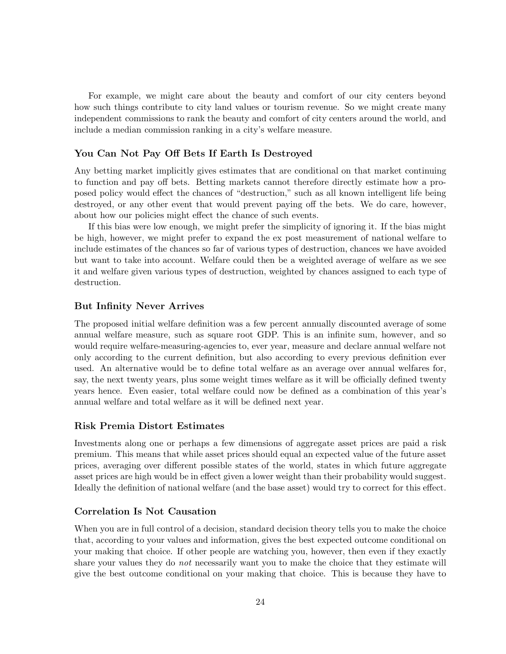For example, we might care about the beauty and comfort of our city centers beyond how such things contribute to city land values or tourism revenue. So we might create many independent commissions to rank the beauty and comfort of city centers around the world, and include a median commission ranking in a city's welfare measure.

## You Can Not Pay Off Bets If Earth Is Destroyed

Any betting market implicitly gives estimates that are conditional on that market continuing to function and pay off bets. Betting markets cannot therefore directly estimate how a proposed policy would effect the chances of "destruction," such as all known intelligent life being destroyed, or any other event that would prevent paying off the bets. We do care, however, about how our policies might effect the chance of such events.

If this bias were low enough, we might prefer the simplicity of ignoring it. If the bias might be high, however, we might prefer to expand the ex post measurement of national welfare to include estimates of the chances so far of various types of destruction, chances we have avoided but want to take into account. Welfare could then be a weighted average of welfare as we see it and welfare given various types of destruction, weighted by chances assigned to each type of destruction.

## But Infinity Never Arrives

The proposed initial welfare definition was a few percent annually discounted average of some annual welfare measure, such as square root GDP. This is an infinite sum, however, and so would require welfare-measuring-agencies to, ever year, measure and declare annual welfare not only according to the current definition, but also according to every previous definition ever used. An alternative would be to define total welfare as an average over annual welfares for, say, the next twenty years, plus some weight times welfare as it will be officially defined twenty years hence. Even easier, total welfare could now be defined as a combination of this year's annual welfare and total welfare as it will be defined next year.

#### Risk Premia Distort Estimates

Investments along one or perhaps a few dimensions of aggregate asset prices are paid a risk premium. This means that while asset prices should equal an expected value of the future asset prices, averaging over different possible states of the world, states in which future aggregate asset prices are high would be in effect given a lower weight than their probability would suggest. Ideally the definition of national welfare (and the base asset) would try to correct for this effect.

#### Correlation Is Not Causation

When you are in full control of a decision, standard decision theory tells you to make the choice that, according to your values and information, gives the best expected outcome conditional on your making that choice. If other people are watching you, however, then even if they exactly share your values they do *not* necessarily want you to make the choice that they estimate will give the best outcome conditional on your making that choice. This is because they have to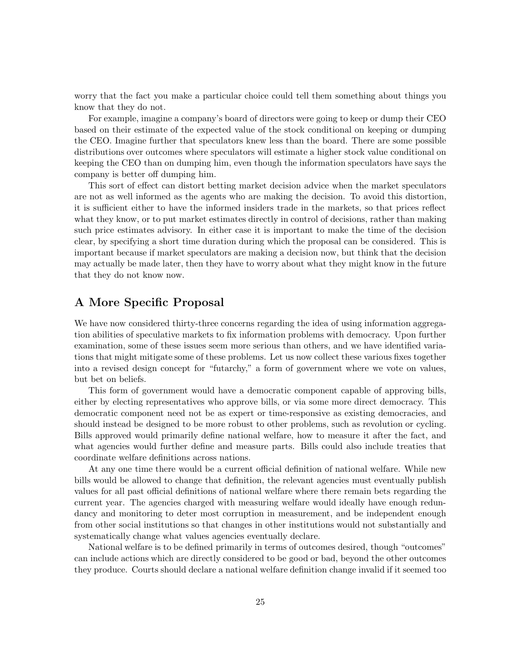worry that the fact you make a particular choice could tell them something about things you know that they do not.

For example, imagine a company's board of directors were going to keep or dump their CEO based on their estimate of the expected value of the stock conditional on keeping or dumping the CEO. Imagine further that speculators knew less than the board. There are some possible distributions over outcomes where speculators will estimate a higher stock value conditional on keeping the CEO than on dumping him, even though the information speculators have says the company is better off dumping him.

This sort of effect can distort betting market decision advice when the market speculators are not as well informed as the agents who are making the decision. To avoid this distortion, it is sufficient either to have the informed insiders trade in the markets, so that prices reflect what they know, or to put market estimates directly in control of decisions, rather than making such price estimates advisory. In either case it is important to make the time of the decision clear, by specifying a short time duration during which the proposal can be considered. This is important because if market speculators are making a decision now, but think that the decision may actually be made later, then they have to worry about what they might know in the future that they do not know now.

# A More Specific Proposal

We have now considered thirty-three concerns regarding the idea of using information aggregation abilities of speculative markets to fix information problems with democracy. Upon further examination, some of these issues seem more serious than others, and we have identified variations that might mitigate some of these problems. Let us now collect these various fixes together into a revised design concept for "futarchy," a form of government where we vote on values, but bet on beliefs.

This form of government would have a democratic component capable of approving bills, either by electing representatives who approve bills, or via some more direct democracy. This democratic component need not be as expert or time-responsive as existing democracies, and should instead be designed to be more robust to other problems, such as revolution or cycling. Bills approved would primarily define national welfare, how to measure it after the fact, and what agencies would further define and measure parts. Bills could also include treaties that coordinate welfare definitions across nations.

At any one time there would be a current official definition of national welfare. While new bills would be allowed to change that definition, the relevant agencies must eventually publish values for all past official definitions of national welfare where there remain bets regarding the current year. The agencies charged with measuring welfare would ideally have enough redundancy and monitoring to deter most corruption in measurement, and be independent enough from other social institutions so that changes in other institutions would not substantially and systematically change what values agencies eventually declare.

National welfare is to be defined primarily in terms of outcomes desired, though "outcomes" can include actions which are directly considered to be good or bad, beyond the other outcomes they produce. Courts should declare a national welfare definition change invalid if it seemed too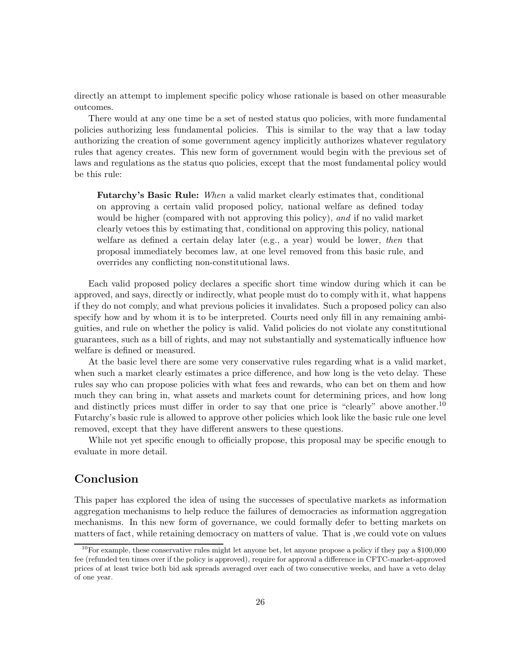directly an attempt to implement specific policy whose rationale is based on other measurable outcomes.

There would at any one time be a set of nested status quo policies, with more fundamental policies authorizing less fundamental policies. This is similar to the way that a law today authorizing the creation of some government agency implicitly authorizes whatever regulatory rules that agency creates. This new form of government would begin with the previous set of laws and regulations as the status quo policies, except that the most fundamental policy would be this rule:

Futarchy's Basic Rule: When a valid market clearly estimates that, conditional on approving a certain valid proposed policy, national welfare as defined today would be higher (compared with not approving this policy), and if no valid market clearly vetoes this by estimating that, conditional on approving this policy, national welfare as defined a certain delay later (e.g., a year) would be lower, then that proposal immediately becomes law, at one level removed from this basic rule, and overrides any conflicting non-constitutional laws.

Each valid proposed policy declares a specific short time window during which it can be approved, and says, directly or indirectly, what people must do to comply with it, what happens if they do not comply, and what previous policies it invalidates. Such a proposed policy can also specify how and by whom it is to be interpreted. Courts need only fill in any remaining ambiguities, and rule on whether the policy is valid. Valid policies do not violate any constitutional guarantees, such as a bill of rights, and may not substantially and systematically influence how welfare is defined or measured.

At the basic level there are some very conservative rules regarding what is a valid market, when such a market clearly estimates a price difference, and how long is the veto delay. These rules say who can propose policies with what fees and rewards, who can bet on them and how much they can bring in, what assets and markets count for determining prices, and how long and distinctly prices must differ in order to say that one price is "clearly" above another.<sup>10</sup> Futarchy's basic rule is allowed to approve other policies which look like the basic rule one level removed, except that they have different answers to these questions.

While not yet specific enough to officially propose, this proposal may be specific enough to evaluate in more detail.

# Conclusion

This paper has explored the idea of using the successes of speculative markets as information aggregation mechanisms to help reduce the failures of democracies as information aggregation mechanisms. In this new form of governance, we could formally defer to betting markets on matters of fact, while retaining democracy on matters of value. That is ,we could vote on values

 $10$ For example, these conservative rules might let anyone bet, let anyone propose a policy if they pay a \$100,000 fee (refunded ten times over if the policy is approved), require for approval a difference in CFTC-market-approved prices of at least twice both bid ask spreads averaged over each of two consecutive weeks, and have a veto delay of one year.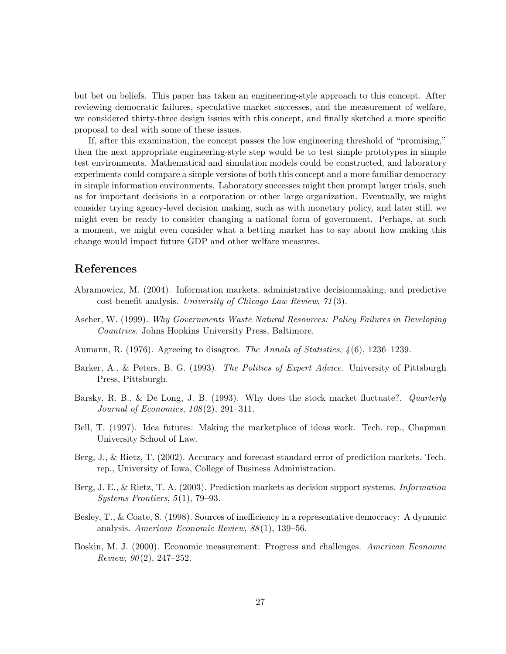but bet on beliefs. This paper has taken an engineering-style approach to this concept. After reviewing democratic failures, speculative market successes, and the measurement of welfare, we considered thirty-three design issues with this concept, and finally sketched a more specific proposal to deal with some of these issues.

If, after this examination, the concept passes the low engineering threshold of "promising," then the next appropriate engineering-style step would be to test simple prototypes in simple test environments. Mathematical and simulation models could be constructed, and laboratory experiments could compare a simple versions of both this concept and a more familiar democracy in simple information environments. Laboratory successes might then prompt larger trials, such as for important decisions in a corporation or other large organization. Eventually, we might consider trying agency-level decision making, such as with monetary policy, and later still, we might even be ready to consider changing a national form of government. Perhaps, at such a moment, we might even consider what a betting market has to say about how making this change would impact future GDP and other welfare measures.

# References

- Abramowicz, M. (2004). Information markets, administrative decisionmaking, and predictive cost-benefit analysis. University of Chicago Law Review, 71(3).
- Ascher, W. (1999). Why Governments Waste Natural Resources: Policy Failures in Developing Countries. Johns Hopkins University Press, Baltimore.
- Aumann, R. (1976). Agreeing to disagree. The Annals of Statistics, 4(6), 1236–1239.
- Barker, A., & Peters, B. G. (1993). The Politics of Expert Advice. University of Pittsburgh Press, Pittsburgh.
- Barsky, R. B., & De Long, J. B. (1993). Why does the stock market fluctuate?. *Quarterly* Journal of Economics, 108(2), 291–311.
- Bell, T. (1997). Idea futures: Making the marketplace of ideas work. Tech. rep., Chapman University School of Law.
- Berg, J., & Rietz, T. (2002). Accuracy and forecast standard error of prediction markets. Tech. rep., University of Iowa, College of Business Administration.
- Berg, J. E., & Rietz, T. A. (2003). Prediction markets as decision support systems. Information Systems Frontiers, 5(1), 79–93.
- Besley, T., & Coate, S. (1998). Sources of inefficiency in a representative democracy: A dynamic analysis. American Economic Review, 88(1), 139–56.
- Boskin, M. J. (2000). Economic measurement: Progress and challenges. American Economic Review,  $90(2)$ , 247-252.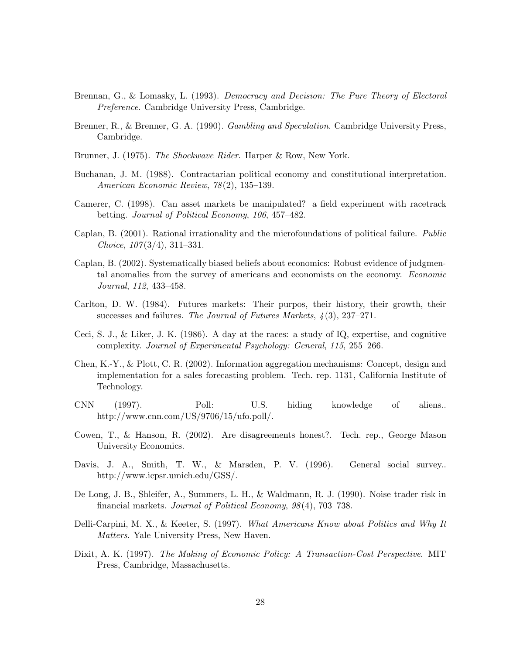- Brennan, G., & Lomasky, L. (1993). Democracy and Decision: The Pure Theory of Electoral Preference. Cambridge University Press, Cambridge.
- Brenner, R., & Brenner, G. A. (1990). Gambling and Speculation. Cambridge University Press, Cambridge.
- Brunner, J. (1975). The Shockwave Rider. Harper & Row, New York.
- Buchanan, J. M. (1988). Contractarian political economy and constitutional interpretation. American Economic Review, 78(2), 135–139.
- Camerer, C. (1998). Can asset markets be manipulated? a field experiment with racetrack betting. Journal of Political Economy, 106, 457–482.
- Caplan, B. (2001). Rational irrationality and the microfoundations of political failure. Public Choice, 107(3/4), 311–331.
- Caplan, B. (2002). Systematically biased beliefs about economics: Robust evidence of judgmental anomalies from the survey of americans and economists on the economy. Economic Journal, 112, 433–458.
- Carlton, D. W. (1984). Futures markets: Their purpos, their history, their growth, their successes and failures. The Journal of Futures Markets, 4(3), 237–271.
- Ceci, S. J., & Liker, J. K. (1986). A day at the races: a study of IQ, expertise, and cognitive complexity. Journal of Experimental Psychology: General, 115, 255–266.
- Chen, K.-Y., & Plott, C. R. (2002). Information aggregation mechanisms: Concept, design and implementation for a sales forecasting problem. Tech. rep. 1131, California Institute of Technology.
- CNN (1997). Poll: U.S. hiding knowledge of aliens.. http://www.cnn.com/US/9706/15/ufo.poll/.
- Cowen, T., & Hanson, R. (2002). Are disagreements honest?. Tech. rep., George Mason University Economics.
- Davis, J. A., Smith, T. W., & Marsden, P. V. (1996). General social survey.. http://www.icpsr.umich.edu/GSS/.
- De Long, J. B., Shleifer, A., Summers, L. H., & Waldmann, R. J. (1990). Noise trader risk in financial markets. Journal of Political Economy, 98(4), 703–738.
- Delli-Carpini, M. X., & Keeter, S. (1997). What Americans Know about Politics and Why It Matters. Yale University Press, New Haven.
- Dixit, A. K. (1997). The Making of Economic Policy: A Transaction-Cost Perspective. MIT Press, Cambridge, Massachusetts.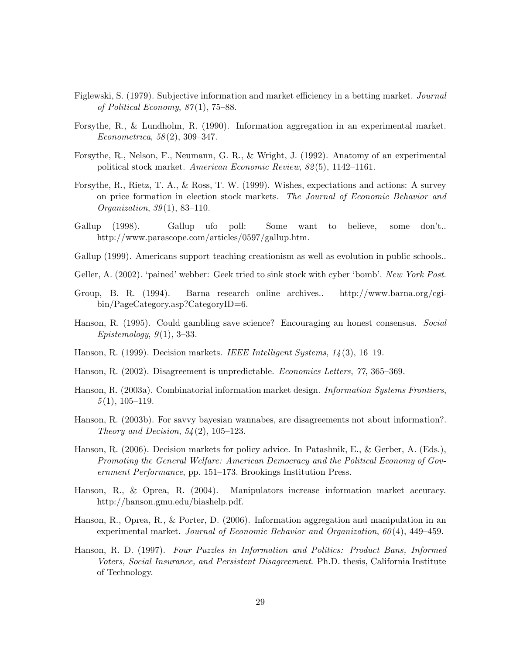- Figlewski, S. (1979). Subjective information and market efficiency in a betting market. Journal of Political Economy, 87(1), 75–88.
- Forsythe, R., & Lundholm, R. (1990). Information aggregation in an experimental market. Econometrica, 58(2), 309–347.
- Forsythe, R., Nelson, F., Neumann, G. R., & Wright, J. (1992). Anatomy of an experimental political stock market. American Economic Review, 82(5), 1142–1161.
- Forsythe, R., Rietz, T. A., & Ross, T. W. (1999). Wishes, expectations and actions: A survey on price formation in election stock markets. The Journal of Economic Behavior and Organization, 39(1), 83–110.
- Gallup (1998). Gallup ufo poll: Some want to believe, some don't.. http://www.parascope.com/articles/0597/gallup.htm.
- Gallup (1999). Americans support teaching creationism as well as evolution in public schools..
- Geller, A. (2002). 'pained' webber: Geek tried to sink stock with cyber 'bomb'. New York Post.
- Group, B. R. (1994). Barna research online archives.. http://www.barna.org/cgibin/PageCategory.asp?CategoryID=6.
- Hanson, R. (1995). Could gambling save science? Encouraging an honest consensus. Social  $Epistemology, 9(1), 3-33.$
- Hanson, R. (1999). Decision markets. *IEEE Intelligent Systems*,  $1/4(3)$ , 16–19.
- Hanson, R. (2002). Disagreement is unpredictable. Economics Letters, 77, 365–369.
- Hanson, R. (2003a). Combinatorial information market design. *Information Systems Frontiers*,  $5(1), 105-119.$
- Hanson, R. (2003b). For savvy bayesian wannabes, are disagreements not about information?. Theory and Decision,  $54(2)$ ,  $105-123$ .
- Hanson, R. (2006). Decision markets for policy advice. In Patashnik, E., & Gerber, A. (Eds.), Promoting the General Welfare: American Democracy and the Political Economy of Government Performance, pp. 151–173. Brookings Institution Press.
- Hanson, R., & Oprea, R. (2004). Manipulators increase information market accuracy. http://hanson.gmu.edu/biashelp.pdf.
- Hanson, R., Oprea, R., & Porter, D. (2006). Information aggregation and manipulation in an experimental market. Journal of Economic Behavior and Organization, 60(4), 449–459.
- Hanson, R. D. (1997). Four Puzzles in Information and Politics: Product Bans, Informed Voters, Social Insurance, and Persistent Disagreement. Ph.D. thesis, California Institute of Technology.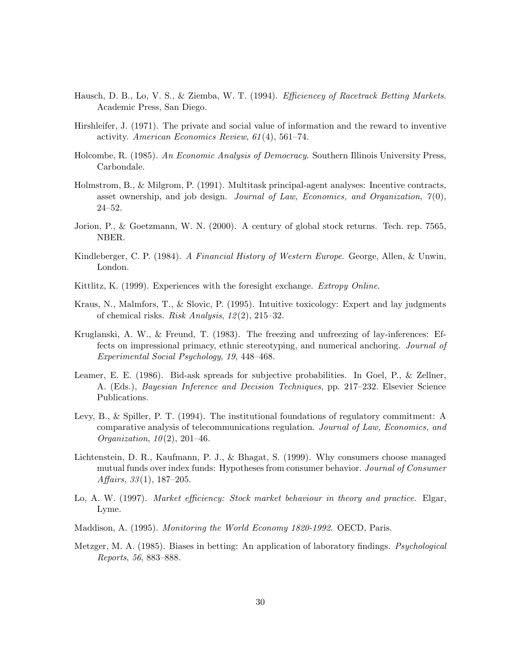- Hausch, D. B., Lo, V. S., & Ziemba, W. T. (1994). *Efficiencey of Racetrack Betting Markets*. Academic Press, San Diego.
- Hirshleifer, J. (1971). The private and social value of information and the reward to inventive activity. American Economics Review, 61(4), 561–74.
- Holcombe, R. (1985). An Economic Analysis of Democracy. Southern Illinois University Press, Carbondale.
- Holmstrom, B., & Milgrom, P. (1991). Multitask principal-agent analyses: Incentive contracts, asset ownership, and job design. Journal of Law, Economics, and Organization,  $7(0)$ , 24–52.
- Jorion, P., & Goetzmann, W. N. (2000). A century of global stock returns. Tech. rep. 7565, NBER.
- Kindleberger, C. P. (1984). A Financial History of Western Europe. George, Allen, & Unwin, London.
- Kittlitz, K. (1999). Experiences with the foresight exchange. Extropy Online.
- Kraus, N., Malmfors, T., & Slovic, P. (1995). Intuitive toxicology: Expert and lay judgments of chemical risks. Risk Analysis, 12(2), 215–32.
- Kruglanski, A. W., & Freund, T. (1983). The freezing and unfreezing of lay-inferences: Effects on impressional primacy, ethnic stereotyping, and numerical anchoring. Journal of Experimental Social Psychology, 19, 448–468.
- Leamer, E. E. (1986). Bid-ask spreads for subjective probabilities. In Goel, P., & Zellner, A. (Eds.), Bayesian Inference and Decision Techniques, pp. 217–232. Elsevier Science Publications.
- Levy, B., & Spiller, P. T. (1994). The institutional foundations of regulatory commitment: A comparative analysis of telecommunications regulation. Journal of Law, Economics, and Organization,  $10(2)$ ,  $201-46$ .
- Lichtenstein, D. R., Kaufmann, P. J., & Bhagat, S. (1999). Why consumers choose managed mutual funds over index funds: Hypotheses from consumer behavior. Journal of Consumer Affairs,  $33(1)$ ,  $187-205$ .
- Lo, A. W. (1997). Market efficiency: Stock market behaviour in theory and practice. Elgar, Lyme.
- Maddison, A. (1995). Monitoring the World Economy 1820-1992. OECD, Paris.
- Metzger, M. A. (1985). Biases in betting: An application of laboratory findings. *Psychological* Reports, 56, 883–888.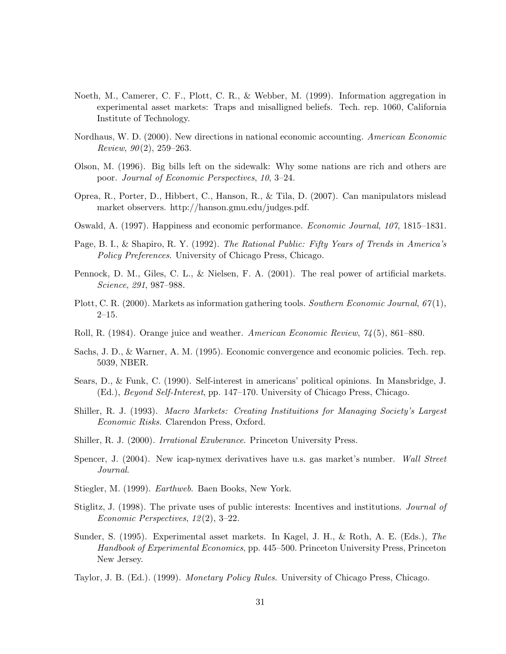- Noeth, M., Camerer, C. F., Plott, C. R., & Webber, M. (1999). Information aggregation in experimental asset markets: Traps and misalligned beliefs. Tech. rep. 1060, California Institute of Technology.
- Nordhaus, W. D. (2000). New directions in national economic accounting. American Economic Review,  $90(2)$ , 259–263.
- Olson, M. (1996). Big bills left on the sidewalk: Why some nations are rich and others are poor. Journal of Economic Perspectives, 10, 3–24.
- Oprea, R., Porter, D., Hibbert, C., Hanson, R., & Tila, D. (2007). Can manipulators mislead market observers. http://hanson.gmu.edu/judges.pdf.
- Oswald, A. (1997). Happiness and economic performance. Economic Journal, 107, 1815–1831.
- Page, B. I., & Shapiro, R. Y. (1992). The Rational Public: Fifty Years of Trends in America's Policy Preferences. University of Chicago Press, Chicago.
- Pennock, D. M., Giles, C. L., & Nielsen, F. A. (2001). The real power of artificial markets. Science, 291, 987–988.
- Plott, C. R. (2000). Markets as information gathering tools. Southern Economic Journal,  $67(1)$ , 2–15.
- Roll, R. (1984). Orange juice and weather. American Economic Review, 74(5), 861–880.
- Sachs, J. D., & Warner, A. M. (1995). Economic convergence and economic policies. Tech. rep. 5039, NBER.
- Sears, D., & Funk, C. (1990). Self-interest in americans' political opinions. In Mansbridge, J. (Ed.), Beyond Self-Interest, pp. 147–170. University of Chicago Press, Chicago.
- Shiller, R. J. (1993). Macro Markets: Creating Instituitions for Managing Society's Largest Economic Risks. Clarendon Press, Oxford.
- Shiller, R. J. (2000). *Irrational Exuberance*. Princeton University Press.
- Spencer, J. (2004). New icap-nymex derivatives have u.s. gas market's number. Wall Street Journal.
- Stiegler, M. (1999). Earthweb. Baen Books, New York.
- Stiglitz, J. (1998). The private uses of public interests: Incentives and institutions. Journal of Economic Perspectives, 12(2), 3–22.
- Sunder, S. (1995). Experimental asset markets. In Kagel, J. H., & Roth, A. E. (Eds.), The Handbook of Experimental Economics, pp. 445–500. Princeton University Press, Princeton New Jersey.
- Taylor, J. B. (Ed.). (1999). *Monetary Policy Rules*. University of Chicago Press, Chicago.